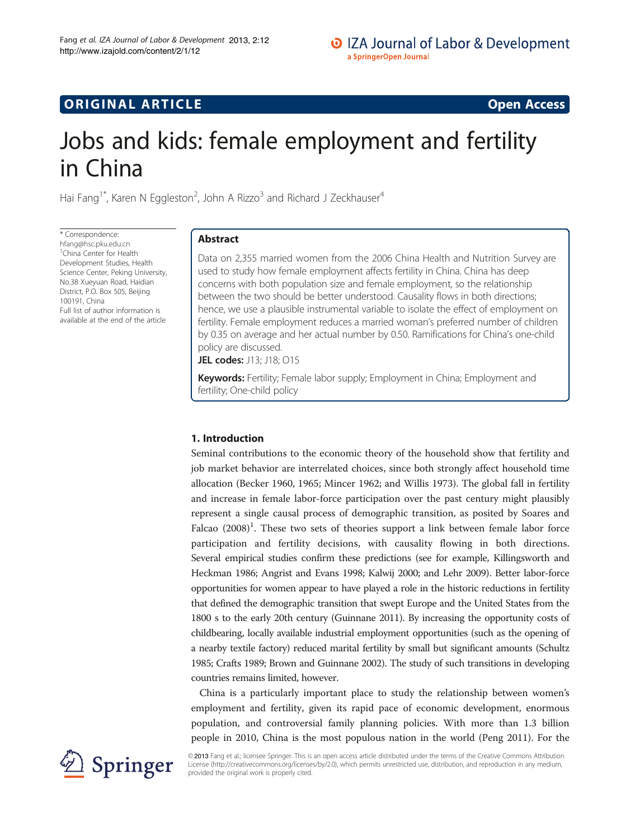# **ORIGINAL ARTICLE CONSERVANCE IN A LOCAL CONSERVANCE IN A LOCAL CONSERVANCE IN A LOCAL CONSERVANCE IN A LOCAL CONSERVANCE IN A LOCAL CONSERVANCE IN A LOCAL CONSERVANCE IN A LOCAL CONSERVANCE IN A LOCAL CONSERVANCE IN A L**

# Jobs and kids: female employment and fertility in China

Hai Fang<sup>1\*</sup>, Karen N Eggleston<sup>2</sup>, John A Rizzo<sup>3</sup> and Richard J Zeckhauser<sup>4</sup>

\* Correspondence: [hfang@hsc.pku.edu.cn](mailto:hfang@hsc.pku.edu.cn) <sup>1</sup> China Center for Health Development Studies, Health Science Center, Peking University, No.38 Xueyuan Road, Haidian District, P.O. Box 505, Beijing 100191, China Full list of author information is available at the end of the article

# Abstract

Data on 2,355 married women from the 2006 China Health and Nutrition Survey are used to study how female employment affects fertility in China. China has deep concerns with both population size and female employment, so the relationship between the two should be better understood. Causality flows in both directions; hence, we use a plausible instrumental variable to isolate the effect of employment on fertility. Female employment reduces a married woman's preferred number of children by 0.35 on average and her actual number by 0.50. Ramifications for China's one-child policy are discussed.

JEL codes: J13; J18; O15

Keywords: Fertility; Female labor supply; Employment in China; Employment and fertility; One-child policy

# 1. Introduction

Seminal contributions to the economic theory of the household show that fertility and job market behavior are interrelated choices, since both strongly affect household time allocation (Becker [1960, 1965](#page-23-0); Mincer [1962;](#page-24-0) and Willis [1973](#page-24-0)). The global fall in fertility and increase in female labor-force participation over the past century might plausibly represent a single causal process of demographic transition, as posited by Soares and Falcao  $(2008)^1$  $(2008)^1$  $(2008)^1$ . These two sets of theories support a link between female labor force participation and fertility decisions, with causality flowing in both directions. Several empirical studies confirm these predictions (see for example, Killingsworth and Heckman [1986;](#page-23-0) Angrist and Evans [1998;](#page-23-0) Kalwij [2000](#page-23-0); and Lehr [2009\)](#page-23-0). Better labor-force opportunities for women appear to have played a role in the historic reductions in fertility that defined the demographic transition that swept Europe and the United States from the 1800 s to the early 20th century (Guinnane [2011\)](#page-23-0). By increasing the opportunity costs of childbearing, locally available industrial employment opportunities (such as the opening of a nearby textile factory) reduced marital fertility by small but significant amounts (Schultz [1985;](#page-24-0) Crafts [1989;](#page-23-0) Brown and Guinnane [2002\)](#page-23-0). The study of such transitions in developing countries remains limited, however.

China is a particularly important place to study the relationship between women's employment and fertility, given its rapid pace of economic development, enormous population, and controversial family planning policies. With more than 1.3 billion people in 2010, China is the most populous nation in the world (Peng [2011](#page-24-0)). For the



© 2013 Fang et al.; licensee Springer. This is an open access article distributed under the terms of the Creative Commons Attribution License [\(http://creativecommons.org/licenses/by/2.0\)](http://creativecommons.org/licenses/by/2.0), which permits unrestricted use, distribution, and reproduction in any medium, provided the original work is properly cited.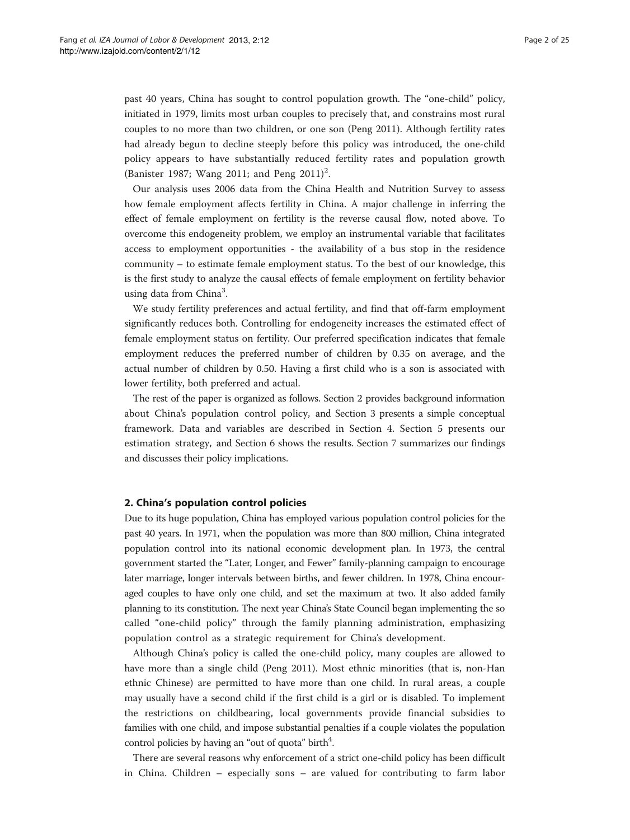past 40 years, China has sought to control population growth. The "one-child" policy, initiated in 1979, limits most urban couples to precisely that, and constrains most rural couples to no more than two children, or one son (Peng [2011](#page-24-0)). Although fertility rates had already begun to decline steeply before this policy was introduced, the one-child policy appears to have substantially reduced fertility rates and population growth (Banister [1987;](#page-23-0) Wang [2011;](#page-24-0) and Peng  $2011$ )<sup>2</sup>.

Our analysis uses 2006 data from the China Health and Nutrition Survey to assess how female employment affects fertility in China. A major challenge in inferring the effect of female employment on fertility is the reverse causal flow, noted above. To overcome this endogeneity problem, we employ an instrumental variable that facilitates access to employment opportunities - the availability of a bus stop in the residence community – to estimate female employment status. To the best of our knowledge, this is the first study to analyze the causal effects of female employment on fertility behavior using data from China<sup>3</sup>.

We study fertility preferences and actual fertility, and find that off-farm employment significantly reduces both. Controlling for endogeneity increases the estimated effect of female employment status on fertility. Our preferred specification indicates that female employment reduces the preferred number of children by 0.35 on average, and the actual number of children by 0.50. Having a first child who is a son is associated with lower fertility, both preferred and actual.

The rest of the paper is organized as follows. Section 2 provides background information about China's population control policy, and Section [3](#page-2-0) presents a simple conceptual framework. Data and variables are described in Section [4](#page-4-0). Section [5](#page-8-0) presents our estimation strategy, and Section [6](#page-9-0) shows the results. Section [7](#page-17-0) summarizes our findings and discusses their policy implications.

#### 2. China's population control policies

Due to its huge population, China has employed various population control policies for the past 40 years. In 1971, when the population was more than 800 million, China integrated population control into its national economic development plan. In 1973, the central government started the "Later, Longer, and Fewer" family-planning campaign to encourage later marriage, longer intervals between births, and fewer children. In 1978, China encouraged couples to have only one child, and set the maximum at two. It also added family planning to its constitution. The next year China's State Council began implementing the so called "one-child policy" through the family planning administration, emphasizing population control as a strategic requirement for China's development.

Although China's policy is called the one-child policy, many couples are allowed to have more than a single child (Peng [2011](#page-24-0)). Most ethnic minorities (that is, non-Han ethnic Chinese) are permitted to have more than one child. In rural areas, a couple may usually have a second child if the first child is a girl or is disabled. To implement the restrictions on childbearing, local governments provide financial subsidies to families with one child, and impose substantial penalties if a couple violates the population control policies by having an "out of quota" birth $4$ .

There are several reasons why enforcement of a strict one-child policy has been difficult in China. Children – especially sons – are valued for contributing to farm labor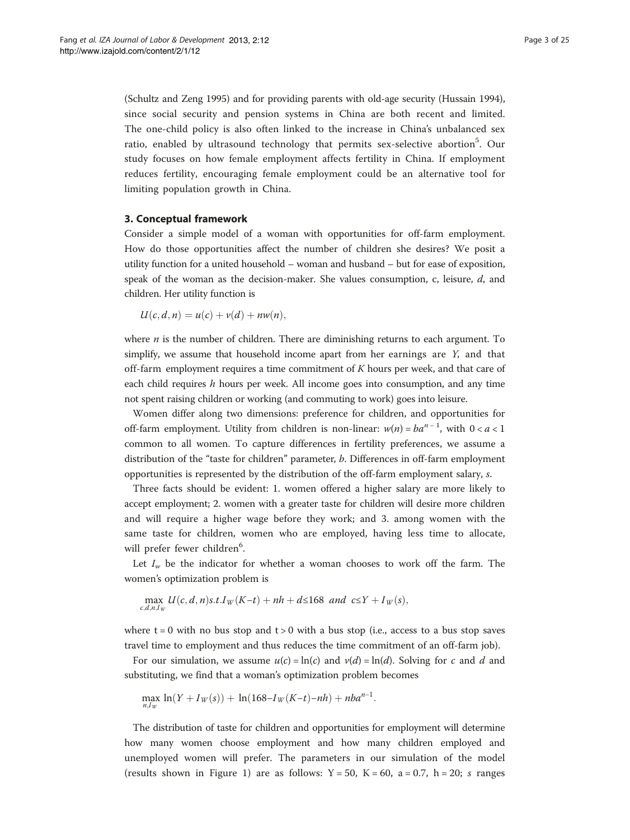<span id="page-2-0"></span>(Schultz and Zeng [1995](#page-24-0)) and for providing parents with old-age security (Hussain [1994](#page-23-0)), since social security and pension systems in China are both recent and limited. The one-child policy is also often linked to the increase in China's unbalanced sex ratio, enabled by ultrasound technology that permits sex-selective abortion<sup>5</sup>. Our study focuses on how female employment affects fertility in China. If employment reduces fertility, encouraging female employment could be an alternative tool for limiting population growth in China.

# 3. Conceptual framework

Consider a simple model of a woman with opportunities for off-farm employment. How do those opportunities affect the number of children she desires? We posit a utility function for a united household – woman and husband – but for ease of exposition, speak of the woman as the decision-maker. She values consumption, c, leisure, d, and children. Her utility function is

$$
U(c,d,n) = u(c) + v(d) + nw(n),
$$

where  $n$  is the number of children. There are diminishing returns to each argument. To simplify, we assume that household income apart from her earnings are Y, and that off-farm employment requires a time commitment of  $K$  hours per week, and that care of each child requires  $h$  hours per week. All income goes into consumption, and any time not spent raising children or working (and commuting to work) goes into leisure.

Women differ along two dimensions: preference for children, and opportunities for off-farm employment. Utility from children is non-linear:  $w(n) = ba^{n-1}$ , with  $0 < a < 1$ common to all women. To capture differences in fertility preferences, we assume a distribution of the "taste for children" parameter, b. Differences in off-farm employment opportunities is represented by the distribution of the off-farm employment salary, s.

Three facts should be evident: 1. women offered a higher salary are more likely to accept employment; 2. women with a greater taste for children will desire more children and will require a higher wage before they work; and 3. among women with the same taste for children, women who are employed, having less time to allocate, will prefer fewer children<sup>6</sup>.

Let  $I_w$  be the indicator for whether a woman chooses to work off the farm. The women's optimization problem is

$$
\max_{c,d,n,l_w} U(c,d,n)s.t. I_W(K-t) + nh + d \le 168 \text{ and } c \le Y + I_W(s),
$$

where  $t = 0$  with no bus stop and  $t > 0$  with a bus stop (i.e., access to a bus stop saves travel time to employment and thus reduces the time commitment of an off-farm job).

For our simulation, we assume  $u(c) = \ln(c)$  and  $v(d) = \ln(d)$ . Solving for c and d and substituting, we find that a woman's optimization problem becomes

$$
\max_{n,I_w} \ln(Y + I_W(s)) + \ln(168 - I_W(K-t) - nh) + nba^{n-1}.
$$

The distribution of taste for children and opportunities for employment will determine how many women choose employment and how many children employed and unemployed women will prefer. The parameters in our simulation of the model (results shown in Figure [1](#page-3-0)) are as follows:  $Y = 50$ ,  $K = 60$ ,  $a = 0.7$ ,  $h = 20$ ; s ranges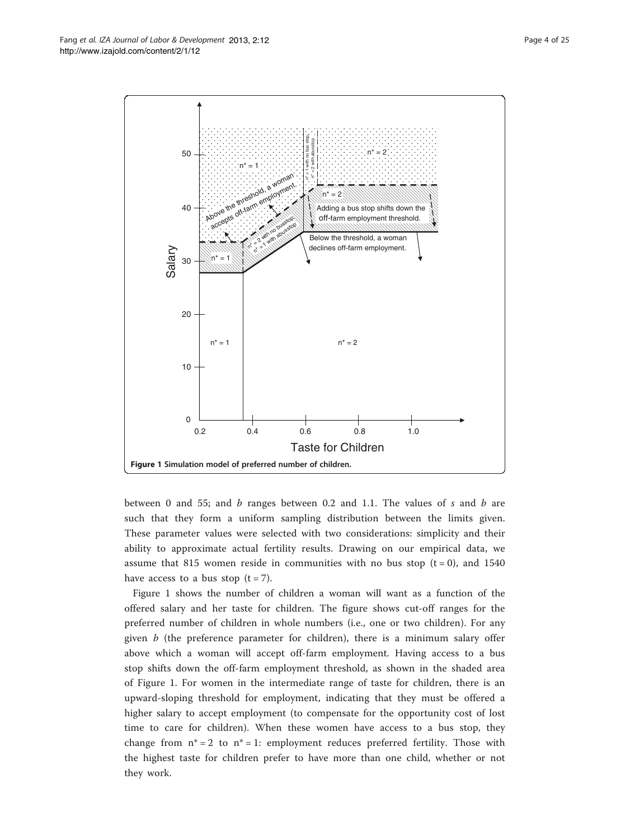between 0 and 55; and b ranges between 0.2 and 1.1. The values of s and b are such that they form a uniform sampling distribution between the limits given. These parameter values were selected with two considerations: simplicity and their ability to approximate actual fertility results. Drawing on our empirical data, we assume that 815 women reside in communities with no bus stop  $(t = 0)$ , and 1540

have access to a bus stop  $(t = 7)$ .

Figure 1 shows the number of children a woman will want as a function of the offered salary and her taste for children. The figure shows cut-off ranges for the preferred number of children in whole numbers (i.e., one or two children). For any given  $b$  (the preference parameter for children), there is a minimum salary offer above which a woman will accept off-farm employment. Having access to a bus stop shifts down the off-farm employment threshold, as shown in the shaded area of Figure 1. For women in the intermediate range of taste for children, there is an upward-sloping threshold for employment, indicating that they must be offered a higher salary to accept employment (to compensate for the opportunity cost of lost time to care for children). When these women have access to a bus stop, they change from  $n^* = 2$  to  $n^* = 1$ : employment reduces preferred fertility. Those with the highest taste for children prefer to have more than one child, whether or not they work.

<span id="page-3-0"></span>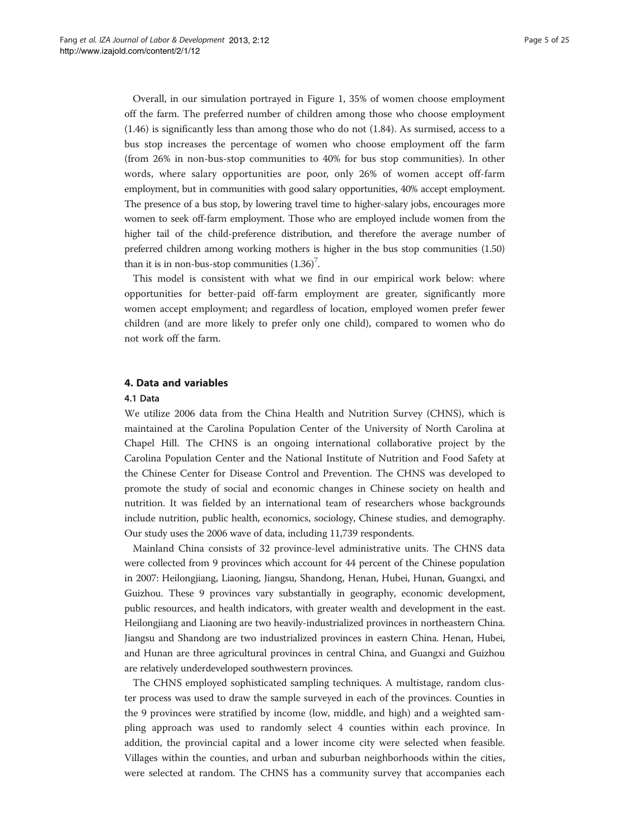<span id="page-4-0"></span>Overall, in our simulation portrayed in Figure [1,](#page-3-0) 35% of women choose employment off the farm. The preferred number of children among those who choose employment (1.46) is significantly less than among those who do not (1.84). As surmised, access to a bus stop increases the percentage of women who choose employment off the farm (from 26% in non-bus-stop communities to 40% for bus stop communities). In other words, where salary opportunities are poor, only 26% of women accept off-farm employment, but in communities with good salary opportunities, 40% accept employment. The presence of a bus stop, by lowering travel time to higher-salary jobs, encourages more women to seek off-farm employment. Those who are employed include women from the higher tail of the child-preference distribution, and therefore the average number of preferred children among working mothers is higher in the bus stop communities (1.50) than it is in non-bus-stop communities  $(1.36)^7$ .

This model is consistent with what we find in our empirical work below: where opportunities for better-paid off-farm employment are greater, significantly more women accept employment; and regardless of location, employed women prefer fewer children (and are more likely to prefer only one child), compared to women who do not work off the farm.

### 4. Data and variables

#### 4.1 Data

We utilize 2006 data from the China Health and Nutrition Survey (CHNS), which is maintained at the Carolina Population Center of the University of North Carolina at Chapel Hill. The CHNS is an ongoing international collaborative project by the Carolina Population Center and the National Institute of Nutrition and Food Safety at the Chinese Center for Disease Control and Prevention. The CHNS was developed to promote the study of social and economic changes in Chinese society on health and nutrition. It was fielded by an international team of researchers whose backgrounds include nutrition, public health, economics, sociology, Chinese studies, and demography. Our study uses the 2006 wave of data, including 11,739 respondents.

Mainland China consists of 32 province-level administrative units. The CHNS data were collected from 9 provinces which account for 44 percent of the Chinese population in 2007: Heilongjiang, Liaoning, Jiangsu, Shandong, Henan, Hubei, Hunan, Guangxi, and Guizhou. These 9 provinces vary substantially in geography, economic development, public resources, and health indicators, with greater wealth and development in the east. Heilongjiang and Liaoning are two heavily-industrialized provinces in northeastern China. Jiangsu and Shandong are two industrialized provinces in eastern China. Henan, Hubei, and Hunan are three agricultural provinces in central China, and Guangxi and Guizhou are relatively underdeveloped southwestern provinces.

The CHNS employed sophisticated sampling techniques. A multistage, random cluster process was used to draw the sample surveyed in each of the provinces. Counties in the 9 provinces were stratified by income (low, middle, and high) and a weighted sampling approach was used to randomly select 4 counties within each province. In addition, the provincial capital and a lower income city were selected when feasible. Villages within the counties, and urban and suburban neighborhoods within the cities, were selected at random. The CHNS has a community survey that accompanies each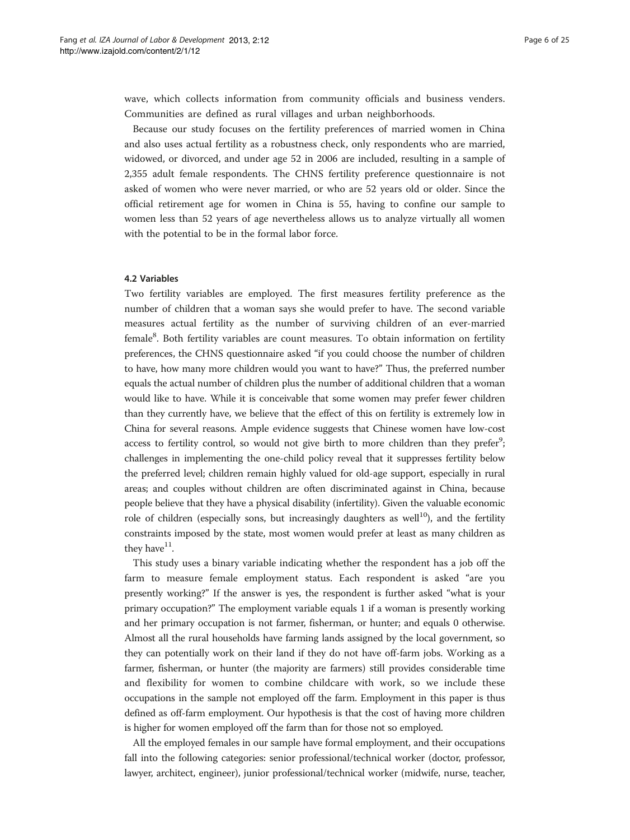wave, which collects information from community officials and business venders. Communities are defined as rural villages and urban neighborhoods.

Because our study focuses on the fertility preferences of married women in China and also uses actual fertility as a robustness check, only respondents who are married, widowed, or divorced, and under age 52 in 2006 are included, resulting in a sample of 2,355 adult female respondents. The CHNS fertility preference questionnaire is not asked of women who were never married, or who are 52 years old or older. Since the official retirement age for women in China is 55, having to confine our sample to women less than 52 years of age nevertheless allows us to analyze virtually all women with the potential to be in the formal labor force.

#### 4.2 Variables

Two fertility variables are employed. The first measures fertility preference as the number of children that a woman says she would prefer to have. The second variable measures actual fertility as the number of surviving children of an ever-married female<sup>8</sup>. Both fertility variables are count measures. To obtain information on fertility preferences, the CHNS questionnaire asked "if you could choose the number of children to have, how many more children would you want to have?" Thus, the preferred number equals the actual number of children plus the number of additional children that a woman would like to have. While it is conceivable that some women may prefer fewer children than they currently have, we believe that the effect of this on fertility is extremely low in China for several reasons. Ample evidence suggests that Chinese women have low-cost access to fertility control, so would not give birth to more children than they prefer<sup>9</sup>; challenges in implementing the one-child policy reveal that it suppresses fertility below the preferred level; children remain highly valued for old-age support, especially in rural areas; and couples without children are often discriminated against in China, because people believe that they have a physical disability (infertility). Given the valuable economic role of children (especially sons, but increasingly daughters as well<sup>10</sup>), and the fertility constraints imposed by the state, most women would prefer at least as many children as they have $11$ .

This study uses a binary variable indicating whether the respondent has a job off the farm to measure female employment status. Each respondent is asked "are you presently working?" If the answer is yes, the respondent is further asked "what is your primary occupation?" The employment variable equals 1 if a woman is presently working and her primary occupation is not farmer, fisherman, or hunter; and equals 0 otherwise. Almost all the rural households have farming lands assigned by the local government, so they can potentially work on their land if they do not have off-farm jobs. Working as a farmer, fisherman, or hunter (the majority are farmers) still provides considerable time and flexibility for women to combine childcare with work, so we include these occupations in the sample not employed off the farm. Employment in this paper is thus defined as off-farm employment. Our hypothesis is that the cost of having more children is higher for women employed off the farm than for those not so employed.

All the employed females in our sample have formal employment, and their occupations fall into the following categories: senior professional/technical worker (doctor, professor, lawyer, architect, engineer), junior professional/technical worker (midwife, nurse, teacher,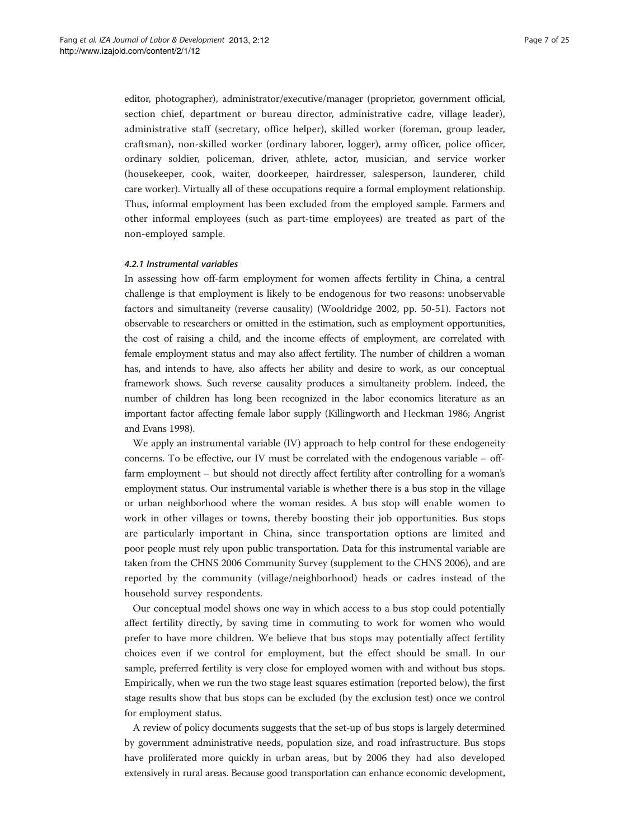editor, photographer), administrator/executive/manager (proprietor, government official, section chief, department or bureau director, administrative cadre, village leader), administrative staff (secretary, office helper), skilled worker (foreman, group leader, craftsman), non-skilled worker (ordinary laborer, logger), army officer, police officer, ordinary soldier, policeman, driver, athlete, actor, musician, and service worker (housekeeper, cook, waiter, doorkeeper, hairdresser, salesperson, launderer, child care worker). Virtually all of these occupations require a formal employment relationship. Thus, informal employment has been excluded from the employed sample. Farmers and other informal employees (such as part-time employees) are treated as part of the non-employed sample.

#### 4.2.1 Instrumental variables

In assessing how off-farm employment for women affects fertility in China, a central challenge is that employment is likely to be endogenous for two reasons: unobservable factors and simultaneity (reverse causality) (Wooldridge [2002](#page-24-0), pp. 50-51). Factors not observable to researchers or omitted in the estimation, such as employment opportunities, the cost of raising a child, and the income effects of employment, are correlated with female employment status and may also affect fertility. The number of children a woman has, and intends to have, also affects her ability and desire to work, as our conceptual framework shows. Such reverse causality produces a simultaneity problem. Indeed, the number of children has long been recognized in the labor economics literature as an important factor affecting female labor supply (Killingworth and Heckman 1986; Angrist and Evans [1998](#page-23-0)).

We apply an instrumental variable (IV) approach to help control for these endogeneity concerns. To be effective, our IV must be correlated with the endogenous variable – offfarm employment – but should not directly affect fertility after controlling for a woman's employment status. Our instrumental variable is whether there is a bus stop in the village or urban neighborhood where the woman resides. A bus stop will enable women to work in other villages or towns, thereby boosting their job opportunities. Bus stops are particularly important in China, since transportation options are limited and poor people must rely upon public transportation. Data for this instrumental variable are taken from the CHNS 2006 Community Survey (supplement to the CHNS 2006), and are reported by the community (village/neighborhood) heads or cadres instead of the household survey respondents.

Our conceptual model shows one way in which access to a bus stop could potentially affect fertility directly, by saving time in commuting to work for women who would prefer to have more children. We believe that bus stops may potentially affect fertility choices even if we control for employment, but the effect should be small. In our sample, preferred fertility is very close for employed women with and without bus stops. Empirically, when we run the two stage least squares estimation (reported below), the first stage results show that bus stops can be excluded (by the exclusion test) once we control for employment status.

A review of policy documents suggests that the set-up of bus stops is largely determined by government administrative needs, population size, and road infrastructure. Bus stops have proliferated more quickly in urban areas, but by 2006 they had also developed extensively in rural areas. Because good transportation can enhance economic development,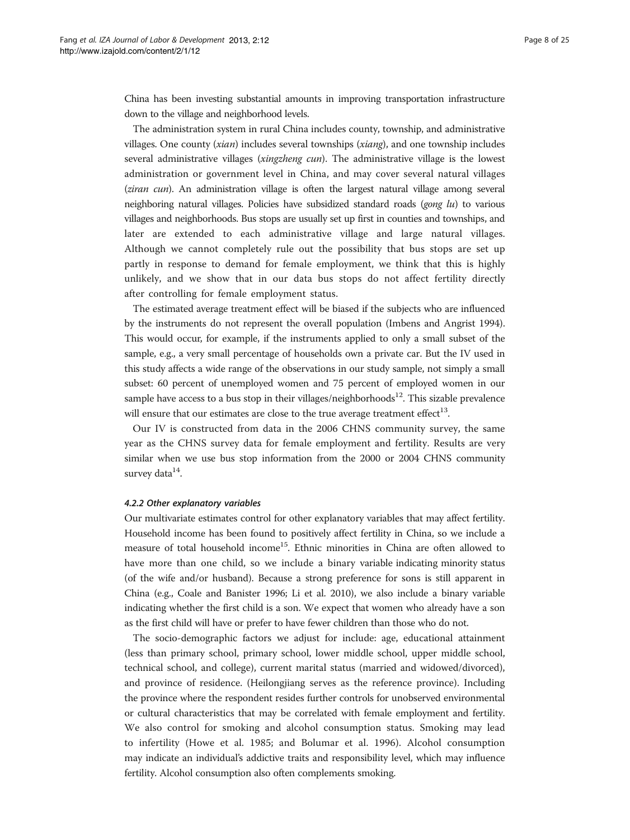China has been investing substantial amounts in improving transportation infrastructure down to the village and neighborhood levels.

The administration system in rural China includes county, township, and administrative villages. One county  $(xian)$  includes several townships  $(xian)$ , and one township includes several administrative villages (xingzheng cun). The administrative village is the lowest administration or government level in China, and may cover several natural villages (ziran cun). An administration village is often the largest natural village among several neighboring natural villages. Policies have subsidized standard roads (gong  $\mu$ ) to various villages and neighborhoods. Bus stops are usually set up first in counties and townships, and later are extended to each administrative village and large natural villages. Although we cannot completely rule out the possibility that bus stops are set up partly in response to demand for female employment, we think that this is highly unlikely, and we show that in our data bus stops do not affect fertility directly after controlling for female employment status.

The estimated average treatment effect will be biased if the subjects who are influenced by the instruments do not represent the overall population (Imbens and Angrist [1994](#page-23-0)). This would occur, for example, if the instruments applied to only a small subset of the sample, e.g., a very small percentage of households own a private car. But the IV used in this study affects a wide range of the observations in our study sample, not simply a small subset: 60 percent of unemployed women and 75 percent of employed women in our sample have access to a bus stop in their villages/neighborhoods $^{12}$ . This sizable prevalence will ensure that our estimates are close to the true average treatment effect<sup>13</sup>.

Our IV is constructed from data in the 2006 CHNS community survey, the same year as the CHNS survey data for female employment and fertility. Results are very similar when we use bus stop information from the 2000 or 2004 CHNS community survey data $14$ .

#### 4.2.2 Other explanatory variables

Our multivariate estimates control for other explanatory variables that may affect fertility. Household income has been found to positively affect fertility in China, so we include a measure of total household income<sup>15</sup>. Ethnic minorities in China are often allowed to have more than one child, so we include a binary variable indicating minority status (of the wife and/or husband). Because a strong preference for sons is still apparent in China (e.g., Coale and Banister [1996;](#page-23-0) Li et al. [2010\)](#page-24-0), we also include a binary variable indicating whether the first child is a son. We expect that women who already have a son as the first child will have or prefer to have fewer children than those who do not.

The socio-demographic factors we adjust for include: age, educational attainment (less than primary school, primary school, lower middle school, upper middle school, technical school, and college), current marital status (married and widowed/divorced), and province of residence. (Heilongjiang serves as the reference province). Including the province where the respondent resides further controls for unobserved environmental or cultural characteristics that may be correlated with female employment and fertility. We also control for smoking and alcohol consumption status. Smoking may lead to infertility (Howe et al. [1985](#page-23-0); and Bolumar et al. [1996](#page-23-0)). Alcohol consumption may indicate an individual's addictive traits and responsibility level, which may influence fertility. Alcohol consumption also often complements smoking.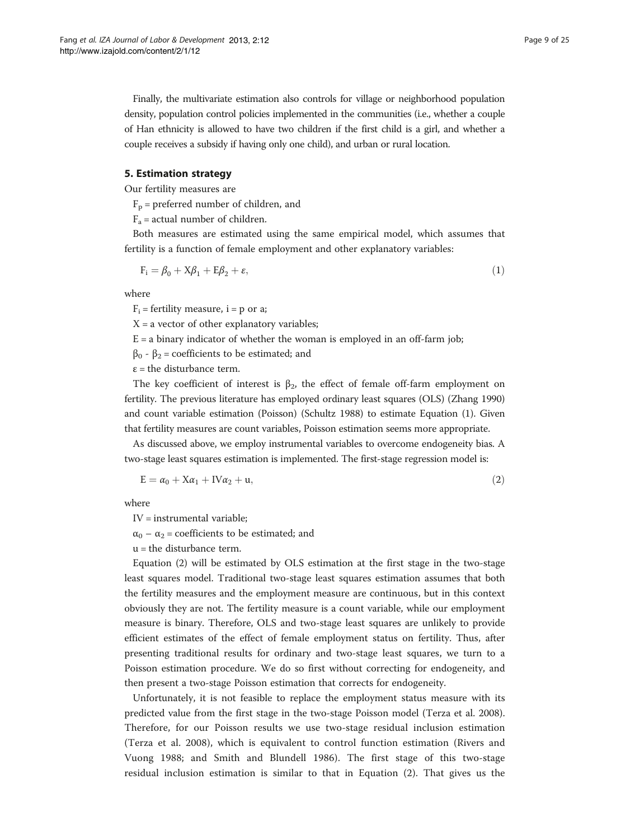<span id="page-8-0"></span>Finally, the multivariate estimation also controls for village or neighborhood population density, population control policies implemented in the communities (i.e., whether a couple of Han ethnicity is allowed to have two children if the first child is a girl, and whether a couple receives a subsidy if having only one child), and urban or rural location.

#### 5. Estimation strategy

Our fertility measures are

 $F_p$  = preferred number of children, and

 $F_a$  = actual number of children.

Both measures are estimated using the same empirical model, which assumes that fertility is a function of female employment and other explanatory variables:

$$
F_i = \beta_0 + X\beta_1 + E\beta_2 + \varepsilon,\tag{1}
$$

where

 $F_i$  = fertility measure,  $i = p$  or a;

 $X = a$  vector of other explanatory variables;

 $E = a$  binary indicator of whether the woman is employed in an off-farm job;

 $β<sub>0</sub> - β<sub>2</sub> = coefficients to be estimated; and$ 

 $\varepsilon$  = the disturbance term.

The key coefficient of interest is  $\beta_2$ , the effect of female off-farm employment on fertility. The previous literature has employed ordinary least squares (OLS) (Zhang [1990](#page-24-0)) and count variable estimation (Poisson) (Schultz [1988\)](#page-24-0) to estimate Equation (1). Given that fertility measures are count variables, Poisson estimation seems more appropriate.

As discussed above, we employ instrumental variables to overcome endogeneity bias. A two-stage least squares estimation is implemented. The first-stage regression model is:

$$
E = \alpha_0 + X\alpha_1 + I V \alpha_2 + u,\tag{2}
$$

where

IV = instrumental variable;

 $\alpha_0 - \alpha_2$  = coefficients to be estimated; and

u = the disturbance term.

Equation (2) will be estimated by OLS estimation at the first stage in the two-stage least squares model. Traditional two-stage least squares estimation assumes that both the fertility measures and the employment measure are continuous, but in this context obviously they are not. The fertility measure is a count variable, while our employment measure is binary. Therefore, OLS and two-stage least squares are unlikely to provide efficient estimates of the effect of female employment status on fertility. Thus, after presenting traditional results for ordinary and two-stage least squares, we turn to a Poisson estimation procedure. We do so first without correcting for endogeneity, and then present a two-stage Poisson estimation that corrects for endogeneity.

Unfortunately, it is not feasible to replace the employment status measure with its predicted value from the first stage in the two-stage Poisson model (Terza et al. [2008](#page-24-0)). Therefore, for our Poisson results we use two-stage residual inclusion estimation (Terza et al. [2008\)](#page-24-0), which is equivalent to control function estimation (Rivers and Vuong [1988;](#page-24-0) and Smith and Blundell [1986](#page-24-0)). The first stage of this two-stage residual inclusion estimation is similar to that in Equation (2). That gives us the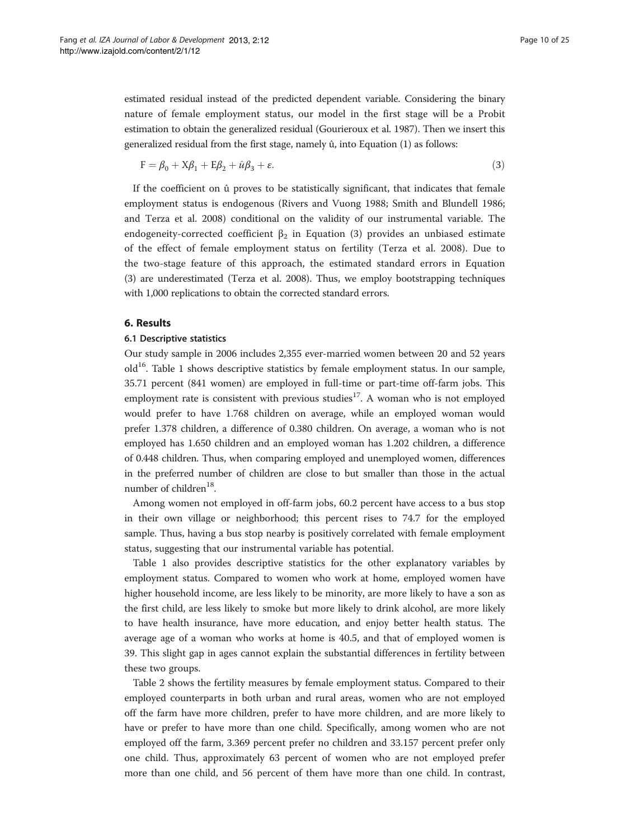<span id="page-9-0"></span>estimated residual instead of the predicted dependent variable. Considering the binary nature of female employment status, our model in the first stage will be a Probit estimation to obtain the generalized residual (Gourieroux et al. [1987\)](#page-23-0). Then we insert this generalized residual from the first stage, namely û, into Equation [\(1](#page-8-0)) as follows:

$$
F = \beta_0 + X\beta_1 + E\beta_2 + \hat{u}\beta_3 + \varepsilon. \tag{3}
$$

If the coefficient on û proves to be statistically significant, that indicates that female employment status is endogenous (Rivers and Vuong [1988;](#page-24-0) Smith and Blundell [1986](#page-24-0); and Terza et al. [2008\)](#page-24-0) conditional on the validity of our instrumental variable. The endogeneity-corrected coefficient  $\beta_2$  in Equation (3) provides an unbiased estimate of the effect of female employment status on fertility (Terza et al. [2008\)](#page-24-0). Due to the two-stage feature of this approach, the estimated standard errors in Equation (3) are underestimated (Terza et al. [2008\)](#page-24-0). Thus, we employ bootstrapping techniques with 1,000 replications to obtain the corrected standard errors.

#### 6. Results

# 6.1 Descriptive statistics

Our study sample in 2006 includes 2,355 ever-married women between 20 and 52 years  $old<sup>16</sup>$ . Table [1](#page-10-0) shows descriptive statistics by female employment status. In our sample, 35.71 percent (841 women) are employed in full-time or part-time off-farm jobs. This employment rate is consistent with previous studies<sup>17</sup>. A woman who is not employed would prefer to have 1.768 children on average, while an employed woman would prefer 1.378 children, a difference of 0.380 children. On average, a woman who is not employed has 1.650 children and an employed woman has 1.202 children, a difference of 0.448 children. Thus, when comparing employed and unemployed women, differences in the preferred number of children are close to but smaller than those in the actual number of children<sup>18</sup>.

Among women not employed in off-farm jobs, 60.2 percent have access to a bus stop in their own village or neighborhood; this percent rises to 74.7 for the employed sample. Thus, having a bus stop nearby is positively correlated with female employment status, suggesting that our instrumental variable has potential.

Table [1](#page-10-0) also provides descriptive statistics for the other explanatory variables by employment status. Compared to women who work at home, employed women have higher household income, are less likely to be minority, are more likely to have a son as the first child, are less likely to smoke but more likely to drink alcohol, are more likely to have health insurance, have more education, and enjoy better health status. The average age of a woman who works at home is 40.5, and that of employed women is 39. This slight gap in ages cannot explain the substantial differences in fertility between these two groups.

Table [2](#page-11-0) shows the fertility measures by female employment status. Compared to their employed counterparts in both urban and rural areas, women who are not employed off the farm have more children, prefer to have more children, and are more likely to have or prefer to have more than one child. Specifically, among women who are not employed off the farm, 3.369 percent prefer no children and 33.157 percent prefer only one child. Thus, approximately 63 percent of women who are not employed prefer more than one child, and 56 percent of them have more than one child. In contrast,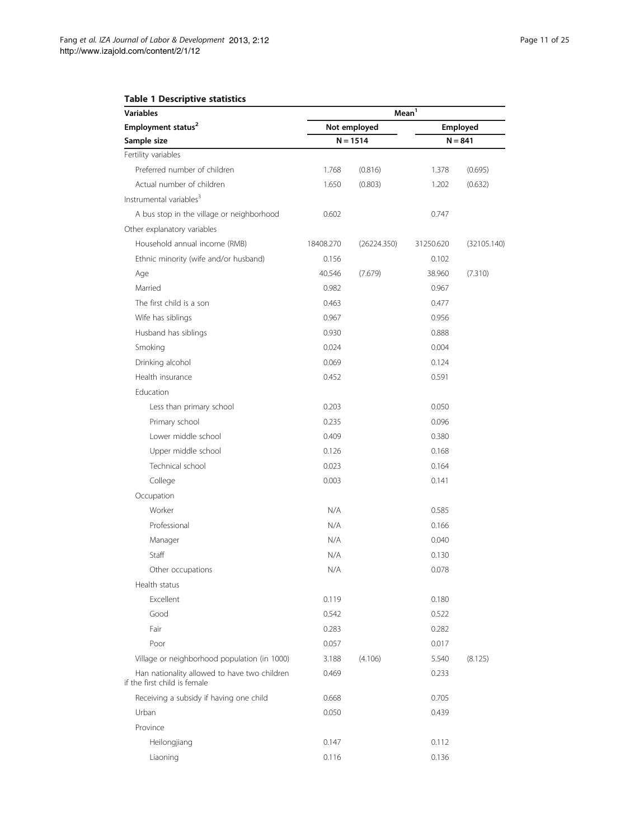# <span id="page-10-0"></span>Table 1 Descriptive statistics

| <b>Variables</b>                                                             | Mean <sup>1</sup> |              |           |             |  |
|------------------------------------------------------------------------------|-------------------|--------------|-----------|-------------|--|
| Employment status <sup>2</sup>                                               |                   | Not employed | Employed  |             |  |
| Sample size                                                                  |                   | $N = 1514$   |           | $N = 841$   |  |
| Fertility variables                                                          |                   |              |           |             |  |
| Preferred number of children                                                 | 1.768             | (0.816)      | 1.378     | (0.695)     |  |
| Actual number of children                                                    | 1.650             | (0.803)      | 1.202     | (0.632)     |  |
| Instrumental variables <sup>3</sup>                                          |                   |              |           |             |  |
| A bus stop in the village or neighborhood                                    | 0.602             |              | 0.747     |             |  |
| Other explanatory variables                                                  |                   |              |           |             |  |
| Household annual income (RMB)                                                | 18408.270         | (26224.350)  | 31250.620 | (32105.140) |  |
| Ethnic minority (wife and/or husband)                                        | 0.156             |              | 0.102     |             |  |
| Age                                                                          | 40.546            | (7.679)      | 38.960    | (7.310)     |  |
| Married                                                                      | 0.982             |              | 0.967     |             |  |
| The first child is a son                                                     | 0.463             |              | 0.477     |             |  |
| Wife has siblings                                                            | 0.967             |              | 0.956     |             |  |
| Husband has siblings                                                         | 0.930             |              | 0.888     |             |  |
| Smoking                                                                      | 0.024             |              | 0.004     |             |  |
| Drinking alcohol                                                             | 0.069             |              | 0.124     |             |  |
| Health insurance                                                             | 0.452             |              | 0.591     |             |  |
| Education                                                                    |                   |              |           |             |  |
| Less than primary school                                                     | 0.203             |              | 0.050     |             |  |
| Primary school                                                               | 0.235             |              | 0.096     |             |  |
| Lower middle school                                                          | 0.409             |              | 0.380     |             |  |
| Upper middle school                                                          | 0.126             |              | 0.168     |             |  |
| Technical school                                                             | 0.023             |              | 0.164     |             |  |
| College                                                                      | 0.003             |              | 0.141     |             |  |
| Occupation                                                                   |                   |              |           |             |  |
| Worker                                                                       | N/A               |              | 0.585     |             |  |
| Professional                                                                 | N/A               |              | 0.166     |             |  |
| Manager                                                                      | N/A               |              | 0.040     |             |  |
| Staff                                                                        | N/A               |              | 0.130     |             |  |
| Other occupations                                                            | N/A               |              | 0.078     |             |  |
| Health status                                                                |                   |              |           |             |  |
| Excellent                                                                    | 0.119             |              | 0.180     |             |  |
| Good                                                                         | 0.542             |              | 0.522     |             |  |
| Fair                                                                         | 0.283             |              | 0.282     |             |  |
| Poor                                                                         | 0.057             |              | 0.017     |             |  |
| Village or neighborhood population (in 1000)                                 | 3.188             | (4.106)      | 5.540     | (8.125)     |  |
| Han nationality allowed to have two children<br>if the first child is female | 0.469             |              | 0.233     |             |  |
| Receiving a subsidy if having one child                                      | 0.668             |              | 0.705     |             |  |
| Urban                                                                        | 0.050             |              | 0.439     |             |  |
| Province                                                                     |                   |              |           |             |  |
| Heilongjiang                                                                 | 0.147             |              | 0.112     |             |  |
| Liaoning                                                                     | 0.116             |              | 0.136     |             |  |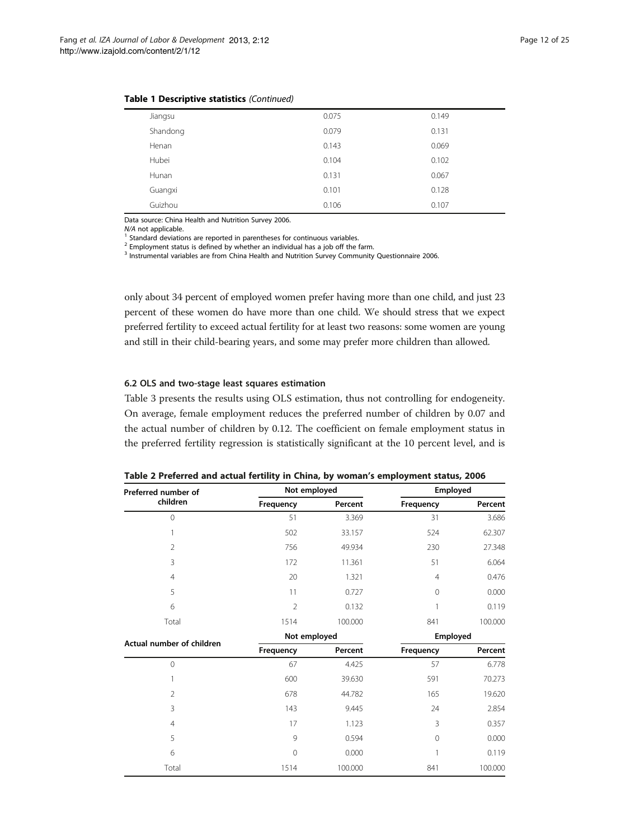| . .      |       |       |
|----------|-------|-------|
| Jiangsu  | 0.075 | 0.149 |
| Shandong | 0.079 | 0.131 |
| Henan    | 0.143 | 0.069 |
| Hubei    | 0.104 | 0.102 |
| Hunan    | 0.131 | 0.067 |
| Guangxi  | 0.101 | 0.128 |
| Guizhou  | 0.106 | 0.107 |

## <span id="page-11-0"></span>Table 1 Descriptive statistics (Continued)

Data source: China Health and Nutrition Survey 2006.

 $N/A$  not applicable.<br><sup>1</sup> Standard deviations are reported in parentheses for continuous variables.

 $2$  Employment status is defined by whether an individual has a job off the farm.

<sup>3</sup> Instrumental variables are from China Health and Nutrition Survey Community Questionnaire 2006.

only about 34 percent of employed women prefer having more than one child, and just 23 percent of these women do have more than one child. We should stress that we expect preferred fertility to exceed actual fertility for at least two reasons: some women are young and still in their child-bearing years, and some may prefer more children than allowed.

#### 6.2 OLS and two-stage least squares estimation

Table [3](#page-12-0) presents the results using OLS estimation, thus not controlling for endogeneity. On average, female employment reduces the preferred number of children by 0.07 and the actual number of children by 0.12. The coefficient on female employment status in the preferred fertility regression is statistically significant at the 10 percent level, and is

| Preferred number of              | Not employed   |              | Employed       |          |
|----------------------------------|----------------|--------------|----------------|----------|
| children                         | Frequency      | Percent      | Frequency      | Percent  |
| $\mathbf 0$                      | 51             | 3.369        | 31             | 3.686    |
| 1                                | 502            | 33.157       | 524            | 62.307   |
| $\overline{2}$                   | 756            | 49.934       | 230            | 27.348   |
| 3                                | 172            | 11.361       | 51             | 6.064    |
| $\overline{4}$                   | 20             | 1.321        | $\overline{4}$ | 0.476    |
| 5                                | 11             | 0.727        | $\mathbf{0}$   | 0.000    |
| 6                                | $\overline{2}$ | 0.132        |                | 0.119    |
| Total                            | 1514           | 100.000      | 841            | 100.000  |
|                                  |                | Not employed |                | Employed |
| <b>Actual number of children</b> | Frequency      | Percent      | Frequency      | Percent  |
| $\mathbf 0$                      | 67             | 4.425        | 57             | 6.778    |
| 1                                | 600            | 39.630       | 591            | 70.273   |
| $\overline{2}$                   | 678            | 44.782       | 165            | 19.620   |
| 3                                | 143            | 9.445        | 24             | 2.854    |
| $\overline{4}$                   | 17             | 1.123        | 3              | 0.357    |
| 5                                | 9              | 0.594        | 0              | 0.000    |
| 6                                | $\Omega$       | 0.000        |                | 0.119    |
| Total                            | 1514           | 100.000      | 841            | 100.000  |

Table 2 Preferred and actual fertility in China, by woman's employment status, 2006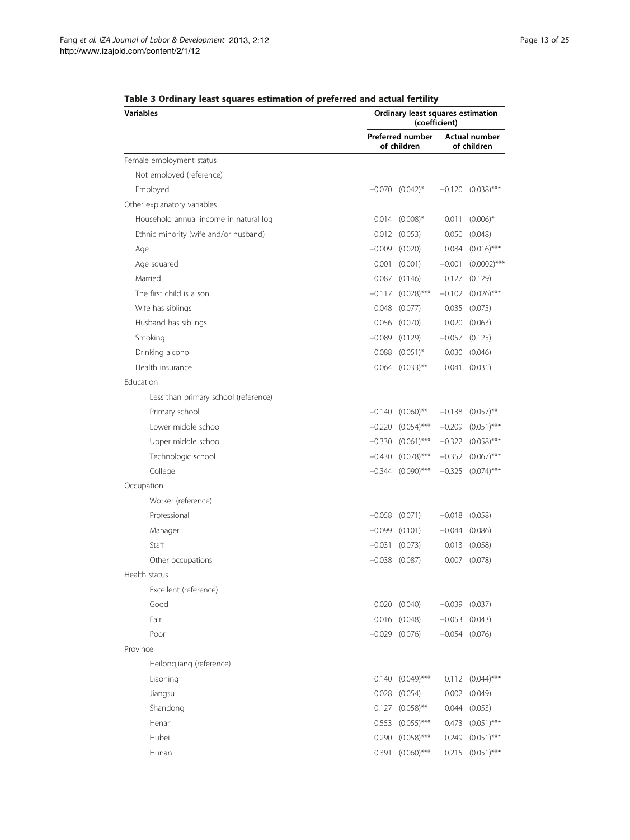| <b>Variables</b>                       |          | Ordinary least squares estimation | (coefficient) |                              |  |
|----------------------------------------|----------|-----------------------------------|---------------|------------------------------|--|
|                                        |          | Preferred number<br>of children   |               | Actual number<br>of children |  |
| Female employment status               |          |                                   |               |                              |  |
| Not employed (reference)               |          |                                   |               |                              |  |
| Employed                               |          | $-0.070$ $(0.042)$ *              | $-0.120$      | $(0.038)$ ***                |  |
| Other explanatory variables            |          |                                   |               |                              |  |
| Household annual income in natural log |          | $0.014$ $(0.008)*$                | 0.011         | $(0.006)^*$                  |  |
| Ethnic minority (wife and/or husband)  |          | $0.012$ $(0.053)$                 | 0.050         | (0.048)                      |  |
| Age                                    | $-0.009$ | (0.020)                           | 0.084         | $(0.016)$ ***                |  |
| Age squared                            | 0.001    | (0.001)                           | $-0.001$      | $(0.0002)$ ***               |  |
| Married                                | 0.087    | (0.146)                           | 0.127         | (0.129)                      |  |
| The first child is a son               | $-0.117$ | $(0.028)$ ***                     | $-0.102$      | $(0.026)$ ***                |  |
| Wife has siblings                      | 0.048    | (0.077)                           | 0.035         | (0.075)                      |  |
| Husband has siblings                   | 0.056    | (0.070)                           | 0.020         | (0.063)                      |  |
| Smoking                                | $-0.089$ | (0.129)                           | $-0.057$      | (0.125)                      |  |
| Drinking alcohol                       | 0.088    | $(0.051)^*$                       | 0.030         | (0.046)                      |  |
| Health insurance                       |          | $0.064$ $(0.033)$ **              | 0.041         | (0.031)                      |  |
| Education                              |          |                                   |               |                              |  |
| Less than primary school (reference)   |          |                                   |               |                              |  |
| Primary school                         | $-0.140$ | $(0.060)$ **                      | $-0.138$      | $(0.057)$ **                 |  |
| Lower middle school                    | $-0.220$ | $(0.054)$ ***                     | $-0.209$      | $(0.051)$ ***                |  |
| Upper middle school                    | $-0.330$ | $(0.061)$ ***                     | $-0.322$      | $(0.058)$ ***                |  |
| Technologic school                     | $-0.430$ | $(0.078)$ ***                     | $-0.352$      | $(0.067)$ ***                |  |
| College                                | $-0.344$ | $(0.090)$ ***                     | $-0.325$      | $(0.074)$ ***                |  |
| Occupation                             |          |                                   |               |                              |  |
| Worker (reference)                     |          |                                   |               |                              |  |
| Professional                           | $-0.058$ | (0.071)                           |               | $-0.018$ (0.058)             |  |
| Manager                                |          | $-0.099$ $(0.101)$                | $-0.044$      | (0.086)                      |  |
| Staff                                  | $-0.031$ | (0.073)                           | 0.013         | (0.058)                      |  |
| Other occupations                      |          | $-0.038$ (0.087)                  | 0.007         | (0.078)                      |  |
| Health status                          |          |                                   |               |                              |  |
| Excellent (reference)                  |          |                                   |               |                              |  |
| Good                                   |          | $0.020$ $(0.040)$                 |               | $-0.039$ (0.037)             |  |
| Fair                                   |          | $0.016$ $(0.048)$                 | $-0.053$      | (0.043)                      |  |
| Poor                                   |          | $-0.029$ $(0.076)$                |               | $-0.054$ (0.076)             |  |
| Province                               |          |                                   |               |                              |  |
| Heilongjiang (reference)               |          |                                   |               |                              |  |
| Liaoning                               | 0.140    | $(0.049)$ ***                     |               | $0.112$ $(0.044)$ ***        |  |
| Jiangsu                                | 0.028    | (0.054)                           | 0.002         | (0.049)                      |  |
| Shandong                               | 0.127    | $(0.058)$ **                      | 0.044         | (0.053)                      |  |
| Henan                                  | 0.553    | $(0.055)$ ***                     | 0.473         | $(0.051)$ ***                |  |
| Hubei                                  | 0.290    | $(0.058)$ ***                     | 0.249         | $(0.051)$ ***                |  |
| Hunan                                  | 0.391    | $(0.060)$ ***                     | 0.215         | $(0.051)$ ***                |  |

<span id="page-12-0"></span>Table 3 Ordinary least squares estimation of preferred and actual fertility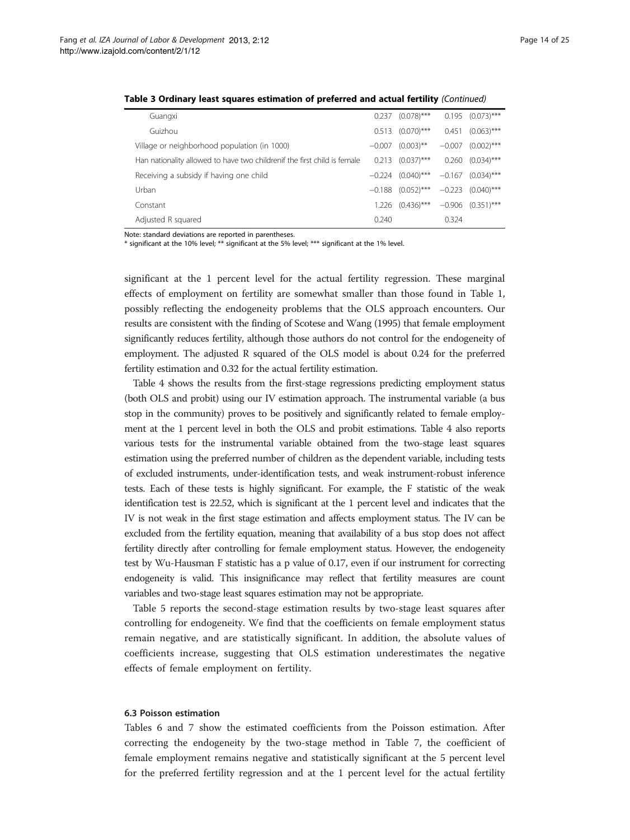| Guangxi                                                                  | 0.237    | $(0.078)$ ***          | 0.195    | $(0.073)$ ***          |
|--------------------------------------------------------------------------|----------|------------------------|----------|------------------------|
| Guizhou                                                                  |          | $0.513$ $(0.070)$ ***  | 0.451    | $(0.063)$ ***          |
| Village or neighborhood population (in 1000)                             | $-0.007$ | $(0.003)$ **           | $-0.007$ | $(0.002)$ ***          |
| Han nationality allowed to have two childrenif the first child is female | 0.213    | $(0.037)$ ***          | 0.260    | $(0.034)$ ***          |
| Receiving a subsidy if having one child                                  |          | $-0.224$ $(0.040)$ *** | $-0.167$ | $(0.034)$ ***          |
| Urban                                                                    |          | $-0.188$ $(0.052)$ *** | $-0.223$ | $(0.040)$ ***          |
| Constant                                                                 |          | $1.226$ $(0.436)$ ***  |          | $-0.906$ $(0.351)$ *** |
| Adjusted R squared                                                       | 0.240    |                        | 0.324    |                        |

Table 3 Ordinary least squares estimation of preferred and actual fertility (Continued)

Note: standard deviations are reported in parentheses.

\* significant at the 10% level; \*\* significant at the 5% level; \*\*\* significant at the 1% level.

significant at the 1 percent level for the actual fertility regression. These marginal effects of employment on fertility are somewhat smaller than those found in Table [1](#page-10-0), possibly reflecting the endogeneity problems that the OLS approach encounters. Our results are consistent with the finding of Scotese and Wang [\(1995\)](#page-24-0) that female employment significantly reduces fertility, although those authors do not control for the endogeneity of employment. The adjusted R squared of the OLS model is about 0.24 for the preferred fertility estimation and 0.32 for the actual fertility estimation.

Table [4](#page-14-0) shows the results from the first-stage regressions predicting employment status (both OLS and probit) using our IV estimation approach. The instrumental variable (a bus stop in the community) proves to be positively and significantly related to female employment at the 1 percent level in both the OLS and probit estimations. Table [4](#page-14-0) also reports various tests for the instrumental variable obtained from the two-stage least squares estimation using the preferred number of children as the dependent variable, including tests of excluded instruments, under-identification tests, and weak instrument-robust inference tests. Each of these tests is highly significant. For example, the F statistic of the weak identification test is 22.52, which is significant at the 1 percent level and indicates that the IV is not weak in the first stage estimation and affects employment status. The IV can be excluded from the fertility equation, meaning that availability of a bus stop does not affect fertility directly after controlling for female employment status. However, the endogeneity test by Wu-Hausman F statistic has a p value of 0.17, even if our instrument for correcting endogeneity is valid. This insignificance may reflect that fertility measures are count variables and two-stage least squares estimation may not be appropriate.

Table [5](#page-16-0) reports the second-stage estimation results by two-stage least squares after controlling for endogeneity. We find that the coefficients on female employment status remain negative, and are statistically significant. In addition, the absolute values of coefficients increase, suggesting that OLS estimation underestimates the negative effects of female employment on fertility.

# 6.3 Poisson estimation

Tables [6](#page-18-0) and [7](#page-19-0) show the estimated coefficients from the Poisson estimation. After correcting the endogeneity by the two-stage method in Table [7,](#page-19-0) the coefficient of female employment remains negative and statistically significant at the 5 percent level for the preferred fertility regression and at the 1 percent level for the actual fertility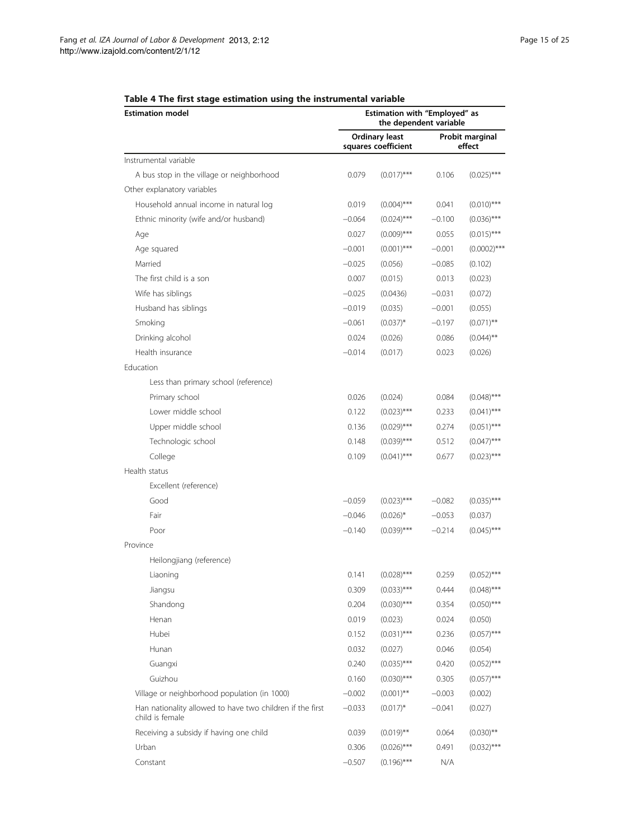| паріє ¬ тие нізі зіауе езіннасірії изніў сне нізігиненіаг тапаріе<br><b>Estimation model</b> | Estimation with "Employed" as<br>the dependent variable |                                              |                           |                |  |
|----------------------------------------------------------------------------------------------|---------------------------------------------------------|----------------------------------------------|---------------------------|----------------|--|
|                                                                                              |                                                         | <b>Ordinary least</b><br>squares coefficient | Probit marginal<br>effect |                |  |
| Instrumental variable                                                                        |                                                         |                                              |                           |                |  |
| A bus stop in the village or neighborhood                                                    | 0.079                                                   | $(0.017)$ ***                                | 0.106                     | $(0.025)$ ***  |  |
| Other explanatory variables                                                                  |                                                         |                                              |                           |                |  |
| Household annual income in natural log                                                       | 0.019                                                   | $(0.004)$ ***                                | 0.041                     | $(0.010)$ ***  |  |
| Ethnic minority (wife and/or husband)                                                        | $-0.064$                                                | $(0.024)$ ***                                | $-0.100$                  | $(0.036)$ ***  |  |
| Age                                                                                          | 0.027                                                   | $(0.009)$ ***                                | 0.055                     | $(0.015)$ ***  |  |
| Age squared                                                                                  | $-0.001$                                                | $(0.001)$ ***                                | $-0.001$                  | $(0.0002)$ *** |  |
| Married                                                                                      | $-0.025$                                                | (0.056)                                      | $-0.085$                  | (0.102)        |  |
| The first child is a son                                                                     | 0.007                                                   | (0.015)                                      | 0.013                     | (0.023)        |  |
| Wife has siblings                                                                            | $-0.025$                                                | (0.0436)                                     | $-0.031$                  | (0.072)        |  |
| Husband has siblings                                                                         | $-0.019$                                                | (0.035)                                      | $-0.001$                  | (0.055)        |  |
| Smoking                                                                                      | $-0.061$                                                | $(0.037)^*$                                  | $-0.197$                  | $(0.071)$ **   |  |
| Drinking alcohol                                                                             | 0.024                                                   | (0.026)                                      | 0.086                     | $(0.044)$ **   |  |
| Health insurance                                                                             | $-0.014$                                                | (0.017)                                      | 0.023                     | (0.026)        |  |
| Education                                                                                    |                                                         |                                              |                           |                |  |
| Less than primary school (reference)                                                         |                                                         |                                              |                           |                |  |
| Primary school                                                                               | 0.026                                                   | (0.024)                                      | 0.084                     | $(0.048)$ ***  |  |
| Lower middle school                                                                          | 0.122                                                   | $(0.023)$ ***                                | 0.233                     | $(0.041)$ ***  |  |
| Upper middle school                                                                          | 0.136                                                   | $(0.029)$ ***                                | 0.274                     | $(0.051)$ ***  |  |
| Technologic school                                                                           | 0.148                                                   | $(0.039)$ ***                                | 0.512                     | $(0.047)$ ***  |  |
| College                                                                                      | 0.109                                                   | $(0.041)$ ***                                | 0.677                     | $(0.023)$ ***  |  |
| Health status                                                                                |                                                         |                                              |                           |                |  |
| Excellent (reference)                                                                        |                                                         |                                              |                           |                |  |
| Good                                                                                         | $-0.059$                                                | $(0.023)$ ***                                | $-0.082$                  | $(0.035)$ ***  |  |
| Fair                                                                                         | $-0.046$                                                | $(0.026)$ *                                  | $-0.053$                  | (0.037)        |  |
| Poor                                                                                         | $-0.140$                                                | $(0.039)$ ***                                | $-0.214$                  | $(0.045)$ ***  |  |
| Province                                                                                     |                                                         |                                              |                           |                |  |
| Heilongjiang (reference)                                                                     |                                                         |                                              |                           |                |  |
| Liaoning                                                                                     | 0.141                                                   | $(0.028)$ ***                                | 0.259                     | $(0.052)$ ***  |  |
| Jiangsu                                                                                      | 0.309                                                   | $(0.033)$ ***                                | 0.444                     | $(0.048)$ ***  |  |
| Shandong                                                                                     | 0.204                                                   | $(0.030)$ ***                                | 0.354                     | $(0.050)$ ***  |  |
| Henan                                                                                        | 0.019                                                   | (0.023)                                      | 0.024                     | (0.050)        |  |
| Hubei                                                                                        | 0.152                                                   | $(0.031)$ ***                                | 0.236                     | $(0.057)$ ***  |  |
| Hunan                                                                                        | 0.032                                                   | (0.027)                                      | 0.046                     | (0.054)        |  |
| Guangxi                                                                                      | 0.240                                                   | $(0.035)$ ***                                | 0.420                     | $(0.052)$ ***  |  |
| Guizhou                                                                                      | 0.160                                                   | $(0.030)$ ***                                | 0.305                     | $(0.057)$ ***  |  |
| Village or neighborhood population (in 1000)                                                 | $-0.002$                                                | $(0.001)$ **                                 | $-0.003$                  | (0.002)        |  |
| Han nationality allowed to have two children if the first<br>child is female                 | $-0.033$                                                | $(0.017)^*$                                  | $-0.041$                  | (0.027)        |  |
| Receiving a subsidy if having one child                                                      | 0.039                                                   | $(0.019)$ **                                 | 0.064                     | $(0.030)$ **   |  |
| Urban                                                                                        | 0.306                                                   | $(0.026)$ ***                                | 0.491                     | $(0.032)$ ***  |  |
| Constant                                                                                     | $-0.507$                                                | $(0.196)$ ***                                | N/A                       |                |  |

<span id="page-14-0"></span>

| Table 4 The first stage estimation using the instrumental variable |  |  |  |  |
|--------------------------------------------------------------------|--|--|--|--|
|--------------------------------------------------------------------|--|--|--|--|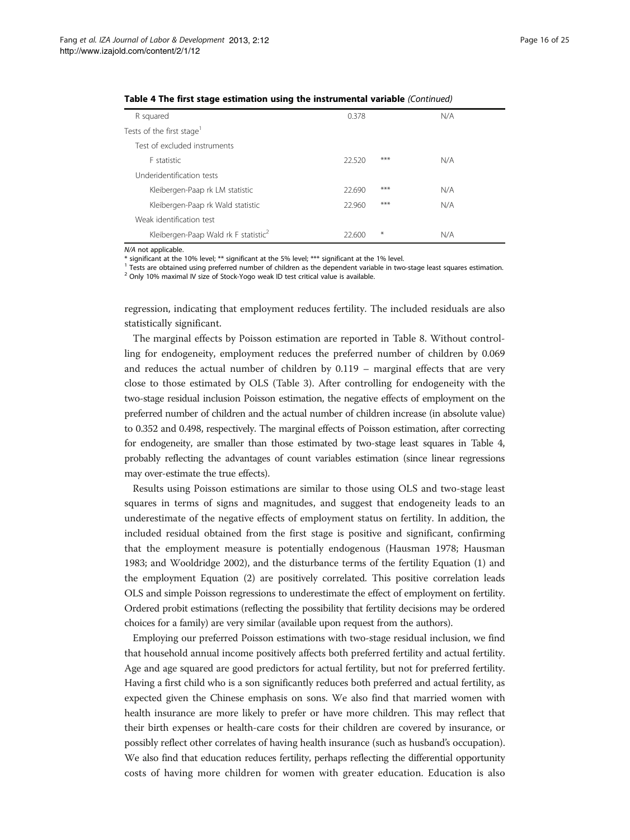| R squared                                        | 0.378  |        | N/A |  |
|--------------------------------------------------|--------|--------|-----|--|
| Tests of the first stage <sup>1</sup>            |        |        |     |  |
| Test of excluded instruments                     |        |        |     |  |
| F statistic                                      | 22.520 | ***    | N/A |  |
| Underidentification tests                        |        |        |     |  |
| Kleibergen-Paap rk LM statistic                  | 22.690 | ***    | N/A |  |
| Kleibergen-Paap rk Wald statistic                | 22.960 | ***    | N/A |  |
| Weak identification test                         |        |        |     |  |
| Kleibergen-Paap Wald rk F statistic <sup>2</sup> | 22.600 | $\ast$ | N/A |  |

|  |  |  |  | Table 4 The first stage estimation using the instrumental variable (Continued) |  |  |
|--|--|--|--|--------------------------------------------------------------------------------|--|--|
|--|--|--|--|--------------------------------------------------------------------------------|--|--|

N/A not applicable.

\* significant at the 10% level; \*\* significant at the 5% level; \*\*\* significant at the 1% level.

<sup>1</sup> Tests are obtained using preferred number of children as the dependent variable in two-stage least squares estimation.

 $2$  Only 10% maximal IV size of Stock-Yogo weak ID test critical value is available.

regression, indicating that employment reduces fertility. The included residuals are also statistically significant.

The marginal effects by Poisson estimation are reported in Table [8](#page-20-0). Without controlling for endogeneity, employment reduces the preferred number of children by 0.069 and reduces the actual number of children by 0.119 – marginal effects that are very close to those estimated by OLS (Table [3\)](#page-12-0). After controlling for endogeneity with the two-stage residual inclusion Poisson estimation, the negative effects of employment on the preferred number of children and the actual number of children increase (in absolute value) to 0.352 and 0.498, respectively. The marginal effects of Poisson estimation, after correcting for endogeneity, are smaller than those estimated by two-stage least squares in Table [4](#page-14-0), probably reflecting the advantages of count variables estimation (since linear regressions may over-estimate the true effects).

Results using Poisson estimations are similar to those using OLS and two-stage least squares in terms of signs and magnitudes, and suggest that endogeneity leads to an underestimate of the negative effects of employment status on fertility. In addition, the included residual obtained from the first stage is positive and significant, confirming that the employment measure is potentially endogenous (Hausman [1978](#page-23-0); Hausman [1983;](#page-23-0) and Wooldridge [2002\)](#page-24-0), and the disturbance terms of the fertility Equation [\(1](#page-8-0)) and the employment Equation [\(2](#page-8-0)) are positively correlated. This positive correlation leads OLS and simple Poisson regressions to underestimate the effect of employment on fertility. Ordered probit estimations (reflecting the possibility that fertility decisions may be ordered choices for a family) are very similar (available upon request from the authors).

Employing our preferred Poisson estimations with two-stage residual inclusion, we find that household annual income positively affects both preferred fertility and actual fertility. Age and age squared are good predictors for actual fertility, but not for preferred fertility. Having a first child who is a son significantly reduces both preferred and actual fertility, as expected given the Chinese emphasis on sons. We also find that married women with health insurance are more likely to prefer or have more children. This may reflect that their birth expenses or health-care costs for their children are covered by insurance, or possibly reflect other correlates of having health insurance (such as husband's occupation). We also find that education reduces fertility, perhaps reflecting the differential opportunity costs of having more children for women with greater education. Education is also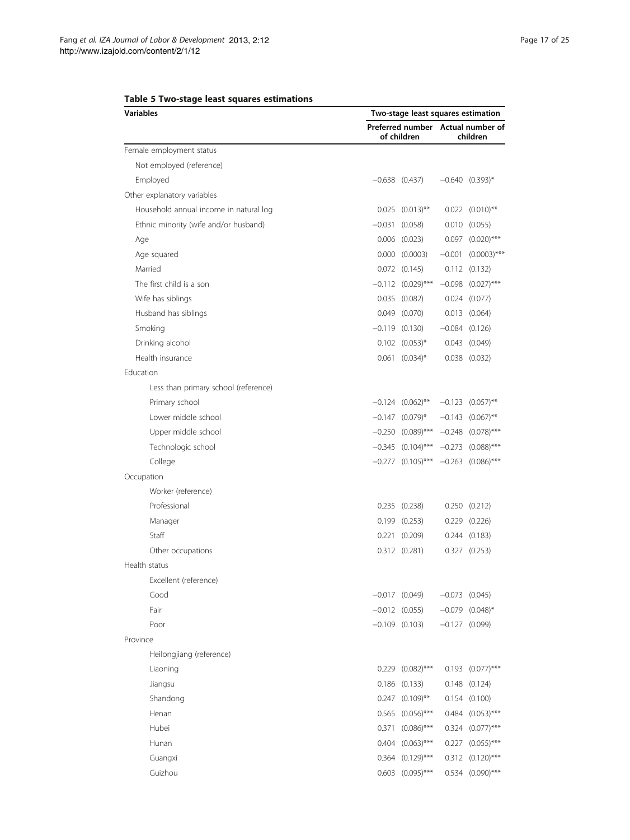# <span id="page-16-0"></span>Table 5 Two-stage least squares estimations

| <b>Variables</b><br>Two-stage least squares estimation |       |                        |                                               |                                  |  |
|--------------------------------------------------------|-------|------------------------|-----------------------------------------------|----------------------------------|--|
|                                                        |       | of children            | Preferred number Actual number of<br>children |                                  |  |
| Female employment status                               |       |                        |                                               |                                  |  |
| Not employed (reference)                               |       |                        |                                               |                                  |  |
| Employed                                               |       | $-0.638$ $(0.437)$     |                                               | $-0.640$ $(0.393)^*$             |  |
| Other explanatory variables                            |       |                        |                                               |                                  |  |
| Household annual income in natural log                 |       | $0.025$ $(0.013)$ **   |                                               | $0.022$ $(0.010)$ **             |  |
| Ethnic minority (wife and/or husband)                  |       | $-0.031$ $(0.058)$     |                                               | $0.010$ $(0.055)$                |  |
| Age                                                    |       | $0.006$ $(0.023)$      |                                               | $0.097$ $(0.020)$ ***            |  |
| Age squared                                            |       | $0.000$ $(0.0003)$     | $-0.001$                                      | $(0.0003)$ ***                   |  |
| Married                                                |       | $0.072$ $(0.145)$      |                                               | $0.112$ $(0.132)$                |  |
| The first child is a son                               |       | $-0.112$ $(0.029)$ *** |                                               | $-0.098$ $(0.027)$ ***           |  |
| Wife has siblings                                      |       | $0.035$ $(0.082)$      |                                               | $0.024$ $(0.077)$                |  |
| Husband has siblings                                   |       | $0.049$ $(0.070)$      |                                               | $0.013$ $(0.064)$                |  |
| Smoking                                                |       | $-0.119$ $(0.130)$     |                                               | $-0.084$ $(0.126)$               |  |
| Drinking alcohol                                       |       | $0.102$ $(0.053)*$     |                                               | $0.043$ $(0.049)$                |  |
| Health insurance                                       |       | $0.061$ $(0.034)^*$    |                                               | $0.038$ $(0.032)$                |  |
| Education                                              |       |                        |                                               |                                  |  |
| Less than primary school (reference)                   |       |                        |                                               |                                  |  |
| Primary school                                         |       | $-0.124$ $(0.062)$ **  | $-0.123$                                      | $(0.057)$ **                     |  |
| Lower middle school                                    |       | $-0.147$ $(0.079)^*$   |                                               | $-0.143$ $(0.067)$ <sup>**</sup> |  |
| Upper middle school                                    |       | $-0.250$ $(0.089)$ *** | $-0.248$                                      | $(0.078)$ ***                    |  |
| Technologic school                                     |       | $-0.345$ $(0.104)$ *** | $-0.273$                                      | $(0.088)$ ***                    |  |
| College                                                |       | $-0.277$ $(0.105)***$  |                                               | $-0.263$ $(0.086)$ ***           |  |
| Occupation                                             |       |                        |                                               |                                  |  |
| Worker (reference)                                     |       |                        |                                               |                                  |  |
| Professional                                           |       | $0.235$ $(0.238)$      |                                               | $0.250$ $(0.212)$                |  |
| Manager                                                |       | $0.199$ $(0.253)$      |                                               | $0.229$ $(0.226)$                |  |
| Staff                                                  |       | $0.221$ $(0.209)$      |                                               | $0.244$ $(0.183)$                |  |
| Other occupations                                      |       | $0.312$ $(0.281)$      |                                               | $0.327$ $(0.253)$                |  |
| Health status                                          |       |                        |                                               |                                  |  |
| Excellent (reference)                                  |       |                        |                                               |                                  |  |
| Good                                                   |       | $-0.017$ (0.049)       |                                               | $-0.073$ (0.045)                 |  |
| Fair                                                   |       | $-0.012$ (0.055)       |                                               | $-0.079$ $(0.048)$ *             |  |
| Poor                                                   |       | $-0.109$ $(0.103)$     |                                               | $-0.127$ (0.099)                 |  |
| Province                                               |       |                        |                                               |                                  |  |
| Heilongjiang (reference)                               |       |                        |                                               |                                  |  |
| Liaoning                                               |       | $0.229$ $(0.082)$ ***  |                                               | $0.193$ $(0.077)$ ***            |  |
| Jiangsu                                                |       | $0.186$ $(0.133)$      |                                               | $0.148$ $(0.124)$                |  |
| Shandong                                               |       | $0.247$ $(0.109)$ **   |                                               | $0.154$ $(0.100)$                |  |
| Henan                                                  | 0.565 | $(0.056)$ ***          | 0.484                                         | $(0.053)$ ***                    |  |
| Hubei                                                  |       | $0.371$ $(0.086)$ ***  | 0.324                                         | $(0.077)$ ***                    |  |
| Hunan                                                  |       | $0.404$ $(0.063)$ ***  | 0.227                                         | $(0.055)$ ***                    |  |
| Guangxi                                                |       | $0.364$ $(0.129)$ ***  | 0.312                                         | $(0.120)$ ***                    |  |
| Guizhou                                                |       | $0.603$ $(0.095)$ ***  |                                               | $0.534$ $(0.090)$ ***            |  |
|                                                        |       |                        |                                               |                                  |  |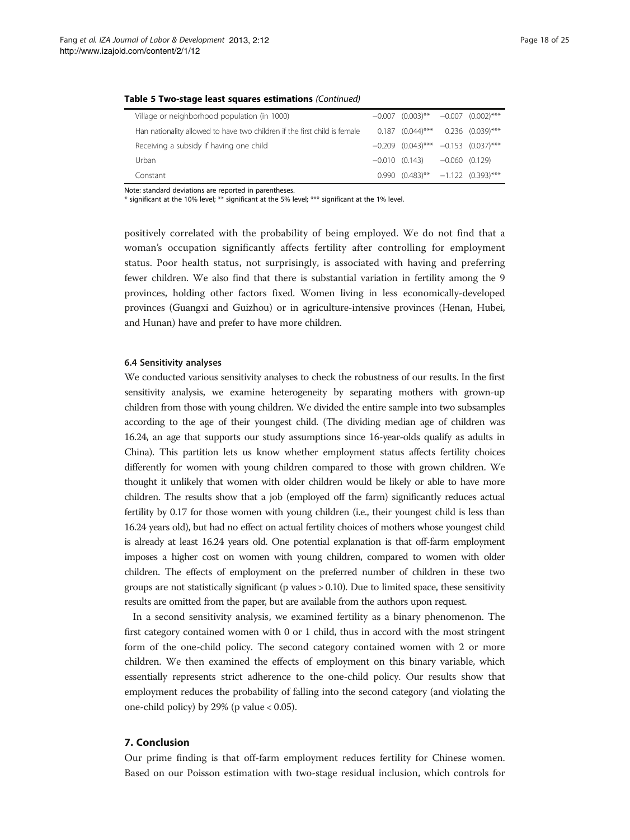| Village or neighborhood population (in 1000)                              | $-0.007$ (0.003)**                            | $-0.007$ $(0.002)$ *** |
|---------------------------------------------------------------------------|-----------------------------------------------|------------------------|
| Han nationality allowed to have two children if the first child is female | $0.187$ $(0.044)$ *** $0.236$ $(0.039)$ ***   |                        |
| Receiving a subsidy if having one child                                   | $-0.209$ $(0.043)$ *** $-0.153$ $(0.037)$ *** |                        |
| Urban                                                                     | $-0.010$ (0.143) $-0.060$ (0.129)             |                        |
| Constant                                                                  | $0.990$ $(0.483)$ ** $-1.122$ $(0.393)$ ***   |                        |
|                                                                           |                                               |                        |

<span id="page-17-0"></span>Table 5 Two-stage least squares estimations (Continued)

Note: standard deviations are reported in parentheses.

\* significant at the 10% level; \*\* significant at the 5% level; \*\*\* significant at the 1% level.

positively correlated with the probability of being employed. We do not find that a woman's occupation significantly affects fertility after controlling for employment status. Poor health status, not surprisingly, is associated with having and preferring fewer children. We also find that there is substantial variation in fertility among the 9 provinces, holding other factors fixed. Women living in less economically-developed provinces (Guangxi and Guizhou) or in agriculture-intensive provinces (Henan, Hubei, and Hunan) have and prefer to have more children.

#### 6.4 Sensitivity analyses

We conducted various sensitivity analyses to check the robustness of our results. In the first sensitivity analysis, we examine heterogeneity by separating mothers with grown-up children from those with young children. We divided the entire sample into two subsamples according to the age of their youngest child. (The dividing median age of children was 16.24, an age that supports our study assumptions since 16-year-olds qualify as adults in China). This partition lets us know whether employment status affects fertility choices differently for women with young children compared to those with grown children. We thought it unlikely that women with older children would be likely or able to have more children. The results show that a job (employed off the farm) significantly reduces actual fertility by 0.17 for those women with young children (i.e., their youngest child is less than 16.24 years old), but had no effect on actual fertility choices of mothers whose youngest child is already at least 16.24 years old. One potential explanation is that off-farm employment imposes a higher cost on women with young children, compared to women with older children. The effects of employment on the preferred number of children in these two groups are not statistically significant ( $p$  values  $> 0.10$ ). Due to limited space, these sensitivity results are omitted from the paper, but are available from the authors upon request.

In a second sensitivity analysis, we examined fertility as a binary phenomenon. The first category contained women with 0 or 1 child, thus in accord with the most stringent form of the one-child policy. The second category contained women with 2 or more children. We then examined the effects of employment on this binary variable, which essentially represents strict adherence to the one-child policy. Our results show that employment reduces the probability of falling into the second category (and violating the one-child policy) by  $29\%$  (p value < 0.05).

# 7. Conclusion

Our prime finding is that off-farm employment reduces fertility for Chinese women. Based on our Poisson estimation with two-stage residual inclusion, which controls for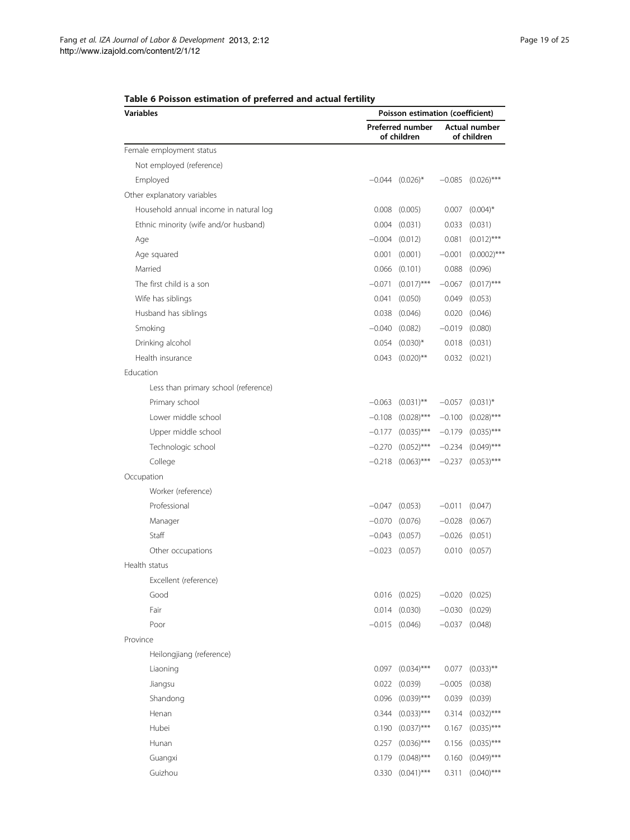# Variables Poisson estimation (coefficient) Preferred number of children Actual number of children Female employment status Not employed (reference) Employed −0.044 (0.026)\* −0.085 (0.026)\*\*\* Other explanatory variables Household annual income in natural log  $0.008$  (0.005) 0.007 (0.004)\* Ethnic minority (wife and/or husband) 0.004 (0.031) 0.033 (0.031) Age −0.004 (0.012) 0.081 (0.012)<sup>\*\*\*</sup> Age squared 0.001 (0.001) −0.001 (0.0002)\*\*\* Married 0.088 (0.096) 0.066 (0.101) 0.088 (0.096) The first child is a son  $-0.071$  (0.017)<sup>\*\*\*</sup>  $-0.067$  (0.017)<sup>\*\*\*</sup> Wife has siblings 0.041 (0.050) 0.049 (0.053) Husband has siblings 0.038 (0.046) 0.020 (0.046) Smoking −0.040 (0.082) −0.019 (0.080) Drinking alcohol 0.054 (0.030)\* 0.018 (0.031) Health insurance 0.043 (0.020)\*\* 0.032 (0.021) Education Less than primary school (reference) Primary school −0.063 (0.031)\*\* −0.057 (0.031)\* Lower middle school  $-0.108$  (0.028)\*\*\*  $-0.100$  (0.028)\*\*\* Upper middle school −0.177 (0.035)\*\*\* −0.179 (0.035)\*\*\* Technologic school  $-0.270$  (0.052)<sup>\*\*\*</sup>  $-0.234$  (0.049)<sup>\*\*\*</sup> College −0.218 (0.063)\*\*\* −0.237 (0.053)\*\*\* Occupation Worker (reference) Professional −0.047 (0.053) −0.011 (0.047) Manager −0.070 (0.076) −0.028 (0.067) Staff −0.043 (0.057) −0.026 (0.051) Other occupations −0.023 (0.057) 0.010 (0.057) Health status Excellent (reference) Good 0.016 (0.025) −0.020 (0.025) Fair 0.014 (0.030) −0.030 (0.029) Poor −0.015 (0.046) −0.037 (0.048) Province Heilongjiang (reference) Liaoning 20097 (0.033)\*\*\* 0.077 (0.033)\*\*\* Jiangsu 0.022 (0.039) −0.005 (0.038) Shandong 0.096 (0.039)<sup>\*\*\*</sup> 0.039 (0.039) Henan 0.344 (0.033)\*\*\* 0.314 (0.032)\*\*\* Hubei 0.190 (0.037)\*\*\* 0.167 (0.035)\*\*\* Hunan 0.257 (0.036)\*\*\* 0.156 (0.035)\*\*\* Guangxi 0.179 (0.048)\*\*\* 0.160 (0.049)\*\*\* Guizhou 0.330 (0.041)\*\*\* 0.311 (0.040)\*\*\*

# <span id="page-18-0"></span>Table 6 Poisson estimation of preferred and actual fertility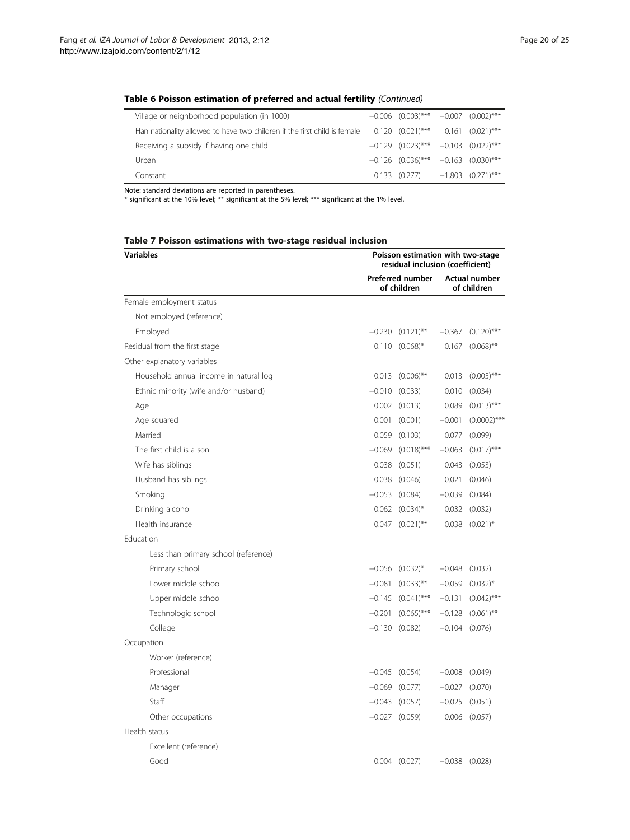| Village or neighborhood population (in 1000)                              | $-0.006$ $(0.003)$ ***                        | $-0.007$ $(0.002)$ *** |
|---------------------------------------------------------------------------|-----------------------------------------------|------------------------|
| Han nationality allowed to have two children if the first child is female | $0.120$ $(0.021)$ *** $0.161$ $(0.021)$ ***   |                        |
| Receiving a subsidy if having one child                                   | $-0.129$ $(0.023)$ *** $-0.103$ $(0.022)$ *** |                        |
| Urban                                                                     | $-0.126$ (0.036)*** $-0.163$ (0.030)***       |                        |
| Constant                                                                  | $0.133$ $(0.277)$ $-1.803$ $(0.271)$ ***      |                        |

# <span id="page-19-0"></span>Table 6 Poisson estimation of preferred and actual fertility (Continued)

Note: standard deviations are reported in parentheses.

\* significant at the 10% level; \*\* significant at the 5% level; \*\*\* significant at the 1% level.

# Table 7 Poisson estimations with two-stage residual inclusion

| <b>Variables</b>                       |          | Poisson estimation with two-stage<br>residual inclusion (coefficient) |          |                                     |  |
|----------------------------------------|----------|-----------------------------------------------------------------------|----------|-------------------------------------|--|
|                                        |          | <b>Preferred number</b><br>of children                                |          | <b>Actual number</b><br>of children |  |
| Female employment status               |          |                                                                       |          |                                     |  |
| Not employed (reference)               |          |                                                                       |          |                                     |  |
| Employed                               |          | $-0.230$ $(0.121)$ **                                                 | $-0.367$ | $(0.120)$ ***                       |  |
| Residual from the first stage          |          | $0.110$ $(0.068)$ *                                                   | 0.167    | $(0.068)$ **                        |  |
| Other explanatory variables            |          |                                                                       |          |                                     |  |
| Household annual income in natural log | 0.013    | $(0.006)$ **                                                          | 0.013    | $(0.005)$ ***                       |  |
| Ethnic minority (wife and/or husband)  | $-0.010$ | (0.033)                                                               | 0.010    | (0.034)                             |  |
| Age                                    |          | $0.002$ $(0.013)$                                                     | 0.089    | $(0.013)$ ***                       |  |
| Age squared                            | 0.001    | (0.001)                                                               | $-0.001$ | $(0.0002)$ ***                      |  |
| Married                                |          | $0.059$ $(0.103)$                                                     | 0.077    | (0.099)                             |  |
| The first child is a son               | $-0.069$ | $(0.018)$ ***                                                         | $-0.063$ | $(0.017)$ ***                       |  |
| Wife has siblings                      | 0.038    | (0.051)                                                               | 0.043    | (0.053)                             |  |
| Husband has siblings                   | 0.038    | (0.046)                                                               | 0.021    | (0.046)                             |  |
| Smoking                                | $-0.053$ | (0.084)                                                               | $-0.039$ | (0.084)                             |  |
| Drinking alcohol                       | 0.062    | $(0.034)^*$                                                           | 0.032    | (0.032)                             |  |
| Health insurance                       |          | $0.047$ $(0.021)$ **                                                  | 0.038    | $(0.021)$ *                         |  |
| Education                              |          |                                                                       |          |                                     |  |
| Less than primary school (reference)   |          |                                                                       |          |                                     |  |
| Primary school                         | $-0.056$ | $(0.032)^*$                                                           | $-0.048$ | (0.032)                             |  |
| Lower middle school                    | $-0.081$ | $(0.033)$ **                                                          | $-0.059$ | $(0.032)^{*}$                       |  |
| Upper middle school                    | $-0.145$ | $(0.041)$ ***                                                         | $-0.131$ | $(0.042)$ ***                       |  |
| Technologic school                     | $-0.201$ | $(0.065)$ ***                                                         | $-0.128$ | $(0.061)$ **                        |  |
| College                                |          | $-0.130$ (0.082)                                                      | $-0.104$ | (0.076)                             |  |
| Occupation                             |          |                                                                       |          |                                     |  |
| Worker (reference)                     |          |                                                                       |          |                                     |  |
| Professional                           |          | $-0.045$ (0.054)                                                      | $-0.008$ | (0.049)                             |  |
| Manager                                | $-0.069$ | (0.077)                                                               | $-0.027$ | (0.070)                             |  |
| Staff                                  | $-0.043$ | (0.057)                                                               | $-0.025$ | (0.051)                             |  |
| Other occupations                      |          | $-0.027$ (0.059)                                                      | 0.006    | (0.057)                             |  |
| Health status                          |          |                                                                       |          |                                     |  |
| Excellent (reference)                  |          |                                                                       |          |                                     |  |
| Good                                   |          | $0.004$ $(0.027)$                                                     | $-0.038$ | (0.028)                             |  |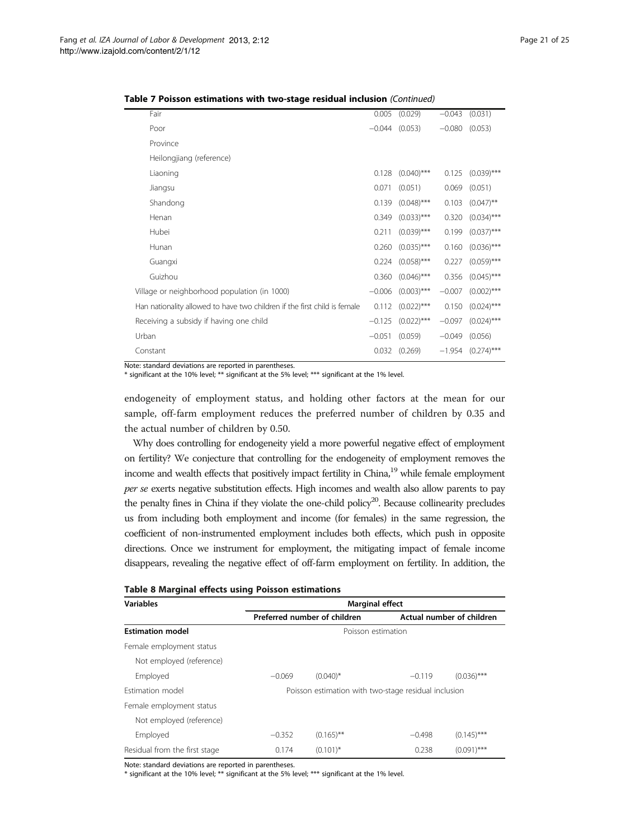<span id="page-20-0"></span>

|  |  | Table 7 Poisson estimations with two-stage residual inclusion (Continued) |  |  |  |  |
|--|--|---------------------------------------------------------------------------|--|--|--|--|
|--|--|---------------------------------------------------------------------------|--|--|--|--|

| Fair                                                                      | 0.005    | (0.029)       | $-0.043$ | (0.031)       |
|---------------------------------------------------------------------------|----------|---------------|----------|---------------|
| Poor                                                                      | $-0.044$ | (0.053)       | $-0.080$ | (0.053)       |
| Province                                                                  |          |               |          |               |
| Heilongjiang (reference)                                                  |          |               |          |               |
| Liaoning                                                                  | 0.128    | $(0.040)$ *** | 0.125    | $(0.039)$ *** |
| Jiangsu                                                                   | 0.071    | (0.051)       | 0.069    | (0.051)       |
| Shandong                                                                  | 0.139    | $(0.048)$ *** | 0.103    | $(0.047)$ **  |
| Henan                                                                     | 0.349    | $(0.033)$ *** | 0.320    | $(0.034)$ *** |
| Hubei                                                                     | 0.211    | $(0.039)$ *** | 0.199    | $(0.037)$ *** |
| Hunan                                                                     | 0.260    | $(0.035)$ *** | 0.160    | $(0.036)$ *** |
| Guangxi                                                                   | 0.224    | $(0.058)$ *** | 0.227    | $(0.059)$ *** |
| Guizhou                                                                   | 0.360    | $(0.046)$ *** | 0.356    | $(0.045)$ *** |
| Village or neighborhood population (in 1000)                              | $-0.006$ | $(0.003)$ *** | $-0.007$ | $(0.002)$ *** |
| Han nationality allowed to have two children if the first child is female | 0.112    | $(0.022)$ *** | 0.150    | $(0.024)$ *** |
| Receiving a subsidy if having one child                                   | $-0.125$ | $(0.022)$ *** | $-0.097$ | $(0.024)$ *** |
| Urban                                                                     | $-0.051$ | (0.059)       | $-0.049$ | (0.056)       |
| Constant                                                                  | 0.032    | (0.269)       | $-1.954$ | $(0.274)$ *** |
| to standard doviations are reported in parentheses                        |          |               |          |               |

Note: standard deviations are reported in parentheses.

\* significant at the 10% level; \*\* significant at the 5% level; \*\*\* significant at the 1% level.

endogeneity of employment status, and holding other factors at the mean for our sample, off-farm employment reduces the preferred number of children by 0.35 and the actual number of children by 0.50.

Why does controlling for endogeneity yield a more powerful negative effect of employment on fertility? We conjecture that controlling for the endogeneity of employment removes the income and wealth effects that positively impact fertility in China,<sup>19</sup> while female employment per se exerts negative substitution effects. High incomes and wealth also allow parents to pay the penalty fines in China if they violate the one-child policy<sup>20</sup>. Because collinearity precludes us from including both employment and income (for females) in the same regression, the coefficient of non-instrumented employment includes both effects, which push in opposite directions. Once we instrument for employment, the mitigating impact of female income disappears, revealing the negative effect of off-farm employment on fertility. In addition, the

| <b>Variables</b>              | <b>Marginal effect</b>                               |                              |          |                           |  |  |
|-------------------------------|------------------------------------------------------|------------------------------|----------|---------------------------|--|--|
|                               |                                                      | Preferred number of children |          | Actual number of children |  |  |
| <b>Estimation model</b>       | Poisson estimation                                   |                              |          |                           |  |  |
| Female employment status      |                                                      |                              |          |                           |  |  |
| Not employed (reference)      |                                                      |                              |          |                           |  |  |
| Employed                      | $-0.069$                                             | $(0.040)$ *                  | $-0.119$ | $(0.036)$ ***             |  |  |
| <b>Estimation model</b>       | Poisson estimation with two-stage residual inclusion |                              |          |                           |  |  |
| Female employment status      |                                                      |                              |          |                           |  |  |
| Not employed (reference)      |                                                      |                              |          |                           |  |  |
| Employed                      | $-0.352$                                             | $(0.165)$ **                 | $-0.498$ | $(0.145)$ ***             |  |  |
| Residual from the first stage | 0.174                                                | $(0.101)^*$                  | 0.238    | $(0.091)$ ***             |  |  |

| Table 8 Marginal effects using Poisson estimations |  |  |  |  |
|----------------------------------------------------|--|--|--|--|
|----------------------------------------------------|--|--|--|--|

Note: standard deviations are reported in parentheses.

\* significant at the 10% level; \*\* significant at the 5% level; \*\*\* significant at the 1% level.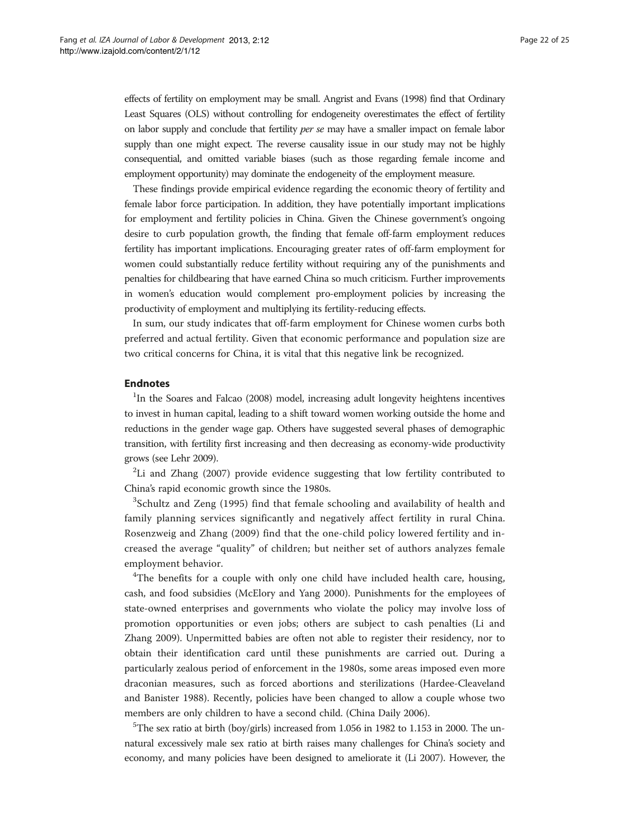effects of fertility on employment may be small. Angrist and Evans [\(1998\)](#page-23-0) find that Ordinary Least Squares (OLS) without controlling for endogeneity overestimates the effect of fertility on labor supply and conclude that fertility per se may have a smaller impact on female labor supply than one might expect. The reverse causality issue in our study may not be highly consequential, and omitted variable biases (such as those regarding female income and employment opportunity) may dominate the endogeneity of the employment measure.

These findings provide empirical evidence regarding the economic theory of fertility and female labor force participation. In addition, they have potentially important implications for employment and fertility policies in China. Given the Chinese government's ongoing desire to curb population growth, the finding that female off-farm employment reduces fertility has important implications. Encouraging greater rates of off-farm employment for women could substantially reduce fertility without requiring any of the punishments and penalties for childbearing that have earned China so much criticism. Further improvements in women's education would complement pro-employment policies by increasing the productivity of employment and multiplying its fertility-reducing effects.

In sum, our study indicates that off-farm employment for Chinese women curbs both preferred and actual fertility. Given that economic performance and population size are two critical concerns for China, it is vital that this negative link be recognized.

#### Endnotes

<sup>1</sup>In the Soares and Falcao ([2008](#page-24-0)) model, increasing adult longevity heightens incentives to invest in human capital, leading to a shift toward women working outside the home and reductions in the gender wage gap. Others have suggested several phases of demographic transition, with fertility first increasing and then decreasing as economy-wide productivity grows (see Lehr [2009](#page-24-0)).

 $2$ Li and Zhang ([2007\)](#page-23-0) provide evidence suggesting that low fertility contributed to China's rapid economic growth since the 1980s.

<sup>3</sup>Schultz and Zeng [\(1995\)](#page-24-0) find that female schooling and availability of health and family planning services significantly and negatively affect fertility in rural China. Rosenzweig and Zhang ([2009](#page-24-0)) find that the one-child policy lowered fertility and increased the average "quality" of children; but neither set of authors analyzes female employment behavior.

<sup>4</sup>The benefits for a couple with only one child have included health care, housing, cash, and food subsidies (McElory and Yang [2000\)](#page-24-0). Punishments for the employees of state-owned enterprises and governments who violate the policy may involve loss of promotion opportunities or even jobs; others are subject to cash penalties (Li and Zhang [2009\)](#page-23-0). Unpermitted babies are often not able to register their residency, nor to obtain their identification card until these punishments are carried out. During a particularly zealous period of enforcement in the 1980s, some areas imposed even more draconian measures, such as forced abortions and sterilizations (Hardee-Cleaveland and Banister [1988\)](#page-23-0). Recently, policies have been changed to allow a couple whose two members are only children to have a second child. (China Daily [2006](#page-23-0)).

 $5$ The sex ratio at birth (boy/girls) increased from 1.056 in 1982 to 1.153 in 2000. The unnatural excessively male sex ratio at birth raises many challenges for China's society and economy, and many policies have been designed to ameliorate it (Li [2007](#page-24-0)). However, the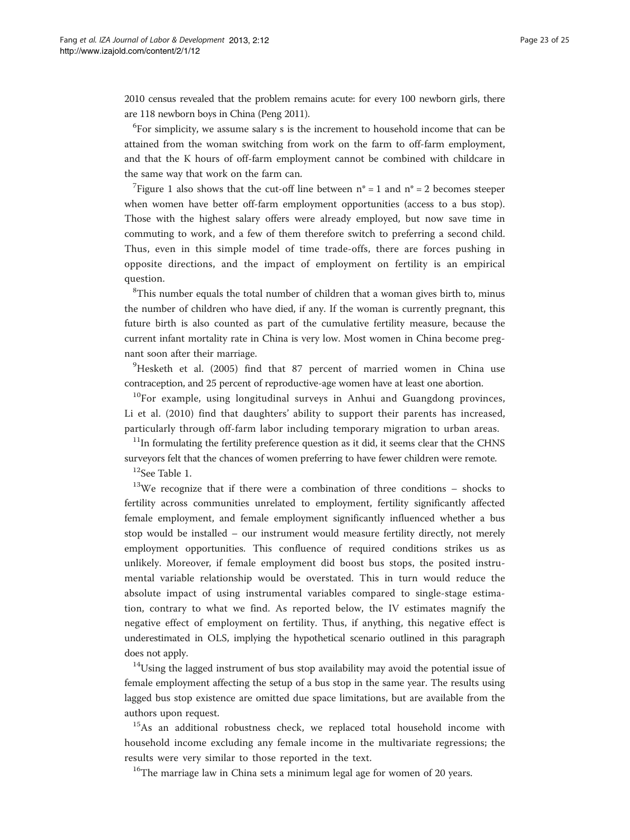2010 census revealed that the problem remains acute: for every 100 newborn girls, there are 118 newborn boys in China (Peng [2011\)](#page-24-0).

<sup>6</sup>For simplicity, we assume salary s is the increment to household income that can be attained from the woman switching from work on the farm to off-farm employment, and that the K hours of off-farm employment cannot be combined with childcare in the same way that work on the farm can.

<sup>7</sup>Figure [1](#page-3-0) also shows that the cut-off line between  $n^* = 1$  and  $n^* = 2$  becomes steeper when women have better off-farm employment opportunities (access to a bus stop). Those with the highest salary offers were already employed, but now save time in commuting to work, and a few of them therefore switch to preferring a second child. Thus, even in this simple model of time trade-offs, there are forces pushing in opposite directions, and the impact of employment on fertility is an empirical question.

<sup>8</sup>This number equals the total number of children that a woman gives birth to, minus the number of children who have died, if any. If the woman is currently pregnant, this future birth is also counted as part of the cumulative fertility measure, because the current infant mortality rate in China is very low. Most women in China become pregnant soon after their marriage.

<sup>9</sup>Hesketh et al. ([2005](#page-23-0)) find that 87 percent of married women in China use contraception, and 25 percent of reproductive-age women have at least one abortion.

<sup>10</sup>For example, using longitudinal surveys in Anhui and Guangdong provinces, Li et al. ([2010](#page-24-0)) find that daughters' ability to support their parents has increased, particularly through off-farm labor including temporary migration to urban areas.

 $11$ In formulating the fertility preference question as it did, it seems clear that the CHNS surveyors felt that the chances of women preferring to have fewer children were remote.

 $12$ See Table [1](#page-10-0).

 $13$ We recognize that if there were a combination of three conditions – shocks to fertility across communities unrelated to employment, fertility significantly affected female employment, and female employment significantly influenced whether a bus stop would be installed – our instrument would measure fertility directly, not merely employment opportunities. This confluence of required conditions strikes us as unlikely. Moreover, if female employment did boost bus stops, the posited instrumental variable relationship would be overstated. This in turn would reduce the absolute impact of using instrumental variables compared to single-stage estimation, contrary to what we find. As reported below, the IV estimates magnify the negative effect of employment on fertility. Thus, if anything, this negative effect is underestimated in OLS, implying the hypothetical scenario outlined in this paragraph does not apply.

 $14$ Using the lagged instrument of bus stop availability may avoid the potential issue of female employment affecting the setup of a bus stop in the same year. The results using lagged bus stop existence are omitted due space limitations, but are available from the authors upon request.

<sup>15</sup>As an additional robustness check, we replaced total household income with household income excluding any female income in the multivariate regressions; the results were very similar to those reported in the text.

<sup>16</sup>The marriage law in China sets a minimum legal age for women of 20 years.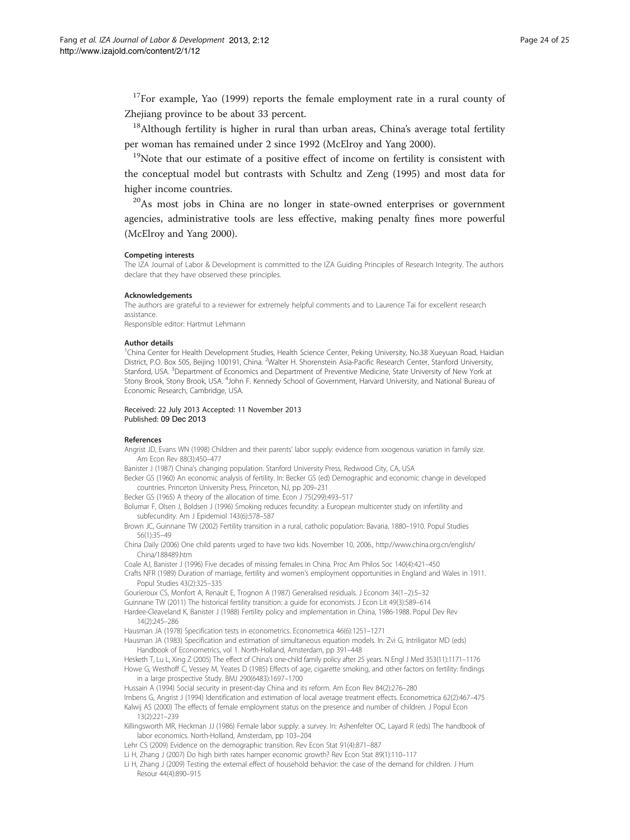<span id="page-23-0"></span><sup>17</sup>For example, Yao ([1999](#page-24-0)) reports the female employment rate in a rural county of Zhejiang province to be about 33 percent.

 $18$ Although fertility is higher in rural than urban areas, China's average total fertility per woman has remained under 2 since 1992 (McElroy and Yang [2000\)](#page-24-0).

<sup>19</sup>Note that our estimate of a positive effect of income on fertility is consistent with the conceptual model but contrasts with Schultz and Zeng ([1995](#page-24-0)) and most data for higher income countries.

<sup>20</sup>As most jobs in China are no longer in state-owned enterprises or government agencies, administrative tools are less effective, making penalty fines more powerful (McElroy and Yang [2000\)](#page-24-0).

#### Competing interests

The IZA Journal of Labor & Development is committed to the IZA Guiding Principles of Research Integrity. The authors declare that they have observed these principles.

#### Acknowledgements

The authors are grateful to a reviewer for extremely helpful comments and to Laurence Tai for excellent research assistance.

Responsible editor: Hartmut Lehmann

#### Author details

<sup>1</sup>China Center for Health Development Studies, Health Science Center, Peking University, No.38 Xueyuan Road, Haidian District, P.O. Box 505, Beijing 100191, China. <sup>2</sup>Walter H. Shorenstein Asia-Pacific Research Center, Stanford University, Stanford, USA. <sup>3</sup>Department of Economics and Department of Preventive Medicine, State University of New York at Stony Brook, Stony Brook, USA. <sup>4</sup>John F. Kennedy School of Government, Harvard University, and National Bureau of Economic Research, Cambridge, USA.

Received: 22 July 2013 Accepted: 11 November 2013 Published: 09 Dec 2013

#### References

- Angrist JD, Evans WN (1998) Children and their parents' labor supply: evidence from xxogenous variation in family size. Am Econ Rev 88(3):450–477
- Banister J (1987) China's changing population. Stanford University Press, Redwood City, CA, USA
- Becker GS (1960) An economic analysis of fertility. In: Becker GS (ed) Demographic and economic change in developed countries. Princeton University Press, Princeton, NJ, pp 209–231

Becker GS (1965) A theory of the allocation of time. Econ J 75(299):493–517

Bolumar F, Olsen J, Boldsen J (1996) Smoking reduces fecundity: a European multicenter study on infertility and subfecundity. Am J Epidemiol 143(6):578–587

- Brown JC, Guinnane TW (2002) Fertility transition in a rural, catholic population: Bavaria, 1880–1910. Popul Studies 56(1):35–49
- China Daily (2006) One child parents urged to have two kids. November 10, 2006., [http://www.china.org.cn/english/](http://www.china.org.cn/english/China/188489.htm) [China/188489.htm](http://www.china.org.cn/english/China/188489.htm)
- Coale AJ, Banister J (1996) Five decades of missing females in China. Proc Am Philos Soc 140(4):421–450
- Crafts NFR (1989) Duration of marriage, fertility and women's employment opportunities in England and Wales in 1911. Popul Studies 43(2):325–335
- Gourieroux CS, Monfort A, Renault E, Trognon A (1987) Generalised residuals. J Econom 34(1–2):5–32
- Guinnane TW (2011) The historical fertility transition: a guide for economists. J Econ Lit 49(3):589–614
- Hardee-Cleaveland K, Banister J (1988) Fertility policy and implementation in China, 1986-1988. Popul Dev Rev 14(2):245–286
- Hausman JA (1978) Specification tests in econometrics. Econometrica 46(6):1251–1271
- Hausman JA (1983) Specification and estimation of simultaneous equation models. In: Zvi G, Intriligator MD (eds) Handbook of Econometrics, vol 1. North-Holland, Amsterdam, pp 391–448

Hesketh T, Lu L, Xing Z (2005) The effect of China's one-child family policy after 25 years. N Engl J Med 353(11):1171–1176 Howe G, Westhoff C, Vessey M, Yeates D (1985) Effects of age, cigarette smoking, and other factors on fertility: findings in a large prospective Study. BMJ 290(6483):1697–1700

Hussain A (1994) Social security in present-day China and its reform. Am Econ Rev 84(2):276–280

Imbens G, Angrist J (1994) Identification and estimation of local average treatment effects. Econometrica 62(2):467–475 Kalwij AS (2000) The effects of female employment status on the presence and number of children. J Popul Econ 13(2):221–239

- Killingsworth MR, Heckman JJ (1986) Female labor supply: a survey. In: Ashenfelter OC, Layard R (eds) The handbook of labor economics. North-Holland, Amsterdam, pp 103–204
- Lehr CS (2009) Evidence on the demographic transition. Rev Econ Stat 91(4):871–887
- Li H, Zhang J (2007) Do high birth rates hamper economic growth? Rev Econ Stat 89(1):110–117
- Li H, Zhang J (2009) Testing the external effect of household behavior: the case of the demand for children. J Hum Resour 44(4):890–915